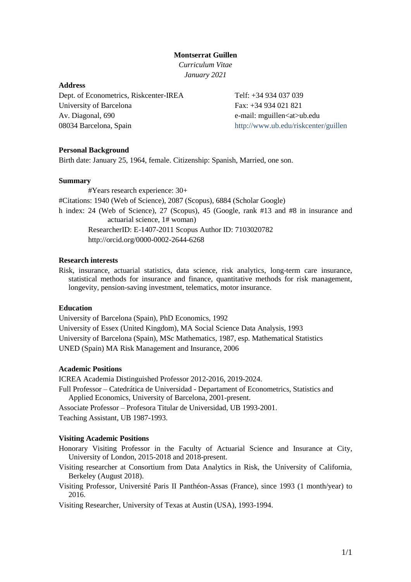# **Montserrat Guillen**

*Curriculum Vitae January 2021*

### **Address**

Dept. of Econometrics, Riskcenter-IREA University of Barcelona Av. Diagonal, 690 08034 Barcelona, Spain

Telf: +34 934 037 039 Fax: +34 934 021 821 e-mail: mguillen<at>ub.edu http://www.ub.edu/riskcenter/guillen

### **Personal Background**

Birth date: January 25, 1964, female. Citizenship: Spanish, Married, one son.

## **Summary**

#Years research experience: 30+ #Citations: 1940 (Web of Science), 2087 (Scopus), 6884 (Scholar Google) h index: 24 (Web of Science), 27 (Scopus), 45 (Google, rank #13 and #8 in insurance and actuarial science, 1# woman) ResearcherID: E-1407-2011 Scopus Author ID: 7103020782 http://orcid.org/0000-0002-2644-6268

# **Research interests**

Risk, insurance, actuarial statistics, data science, risk analytics, long-term care insurance, statistical methods for insurance and finance, quantitative methods for risk management, longevity, pension-saving investment, telematics, motor insurance.

### **Education**

University of Barcelona (Spain), PhD Economics, 1992 University of Essex (United Kingdom), MA Social Science Data Analysis, 1993 University of Barcelona (Spain), MSc Mathematics, 1987, esp. Mathematical Statistics UNED (Spain) MA Risk Management and Insurance, 2006

#### **Academic Positions**

ICREA Academia Distinguished Professor 2012-2016, 2019-2024. Full Professor – Catedrática de Universidad - Departament of Econometrics, Statistics and Applied Economics, University of Barcelona, 2001-present.

Associate Professor – Profesora Titular de Universidad, UB 1993-2001. Teaching Assistant, UB 1987-1993.

#### **Visiting Academic Positions**

- Honorary Visiting Professor in the Faculty of Actuarial Science and Insurance at City, University of London, 2015-2018 and 2018-present.
- Visiting researcher at Consortium from Data Analytics in Risk, the University of California, Berkeley (August 2018).
- Visiting Professor, Université Paris II Panthéon-Assas (France), since 1993 (1 month/year) to 2016.

Visiting Researcher, University of Texas at Austin (USA), 1993-1994.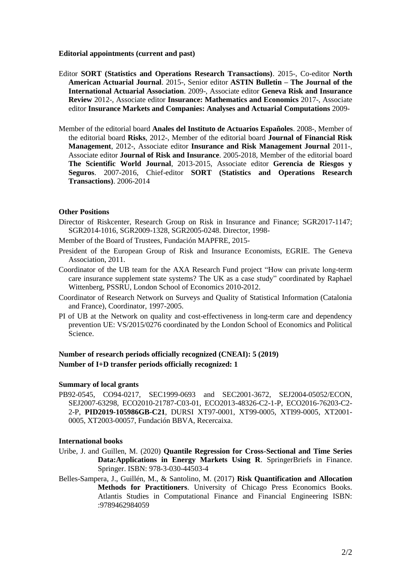### **Editorial appointments (current and past)**

- Editor **SORT (Statistics and Operations Research Transactions)**. 2015-, Co-editor **North American Actuarial Journal**. 2015-, Senior editor **ASTIN Bulletin – The Journal of the International Actuarial Association**. 2009-, Associate editor **Geneva Risk and Insurance Review** 2012-, Associate editor **Insurance: Mathematics and Economics** 2017-, Associate editor **Insurance Markets and Companies: Analyses and Actuarial Computations** 2009-
- Member of the editorial board **Anales del Instituto de Actuarios Españoles**. 2008-, Member of the editorial board **Risks**, 2012-, Member of the editorial board **Journal of Financial Risk Management**, 2012-, Associate editor **Insurance and Risk Management Journal** 2011-, Associate editor **Journal of Risk and Insurance**. 2005-2018, Member of the editorial board **The Scientific World Journal**, 2013-2015, Associate editor **Gerencia de Riesgos y Seguros**. 2007-2016, Chief-editor **SORT (Statistics and Operations Research Transactions)**. 2006-2014

### **Other Positions**

- Director of Riskcenter, Research Group on Risk in Insurance and Finance; SGR2017-1147; SGR2014-1016, SGR2009-1328, SGR2005-0248. Director, 1998-
- Member of the Board of Trustees, Fundación MAPFRE, 2015-
- President of the European Group of Risk and Insurance Economists, EGRIE. The Geneva Association, 2011.
- Coordinator of the UB team for the AXA Research Fund project "How can private long-term care insurance supplement state systems? The UK as a case study" coordinated by Raphael Wittenberg, PSSRU, London School of Economics 2010-2012.
- Coordinator of Research Network on Surveys and Quality of Statistical Information (Catalonia and France), Coordinator, 1997-2005.
- PI of UB at the Network on quality and cost-effectiveness in long-term care and dependency prevention UE: VS/2015/0276 coordinated by the London School of Economics and Political Science.

# **Number of research periods officially recognized (CNEAI): 5 (2019) Number of I+D transfer periods officially recognized: 1**

#### **Summary of local grants**

PB92-0545, CO94-0217, SEC1999-0693 and SEC2001-3672, SEJ2004-05052/ECON, SEJ2007-63298, ECO2010-21787-C03-01, ECO2013-48326-C2-1-P, ECO2016-76203-C2- 2-P, **PID2019-105986GB-C21**, DURSI XT97-0001, XT99-0005, XTI99-0005, XT2001- 0005, XT2003-00057, Fundación BBVA, Recercaixa.

### **International books**

- Uribe, J. and Guillen, M. (2020) **Quantile Regression for Cross-Sectional and Time Series Data:Applications in Energy Markets Using R**. SpringerBriefs in Finance. Springer. ISBN: 978-3-030-44503-4
- Belles-Sampera, J., Guillén, M., & Santolino, M. (2017) **Risk Quantification and Allocation Methods for Practitioners**. University of Chicago Press Economics Books. Atlantis Studies in Computational Finance and Financial Engineering ISBN: :9789462984059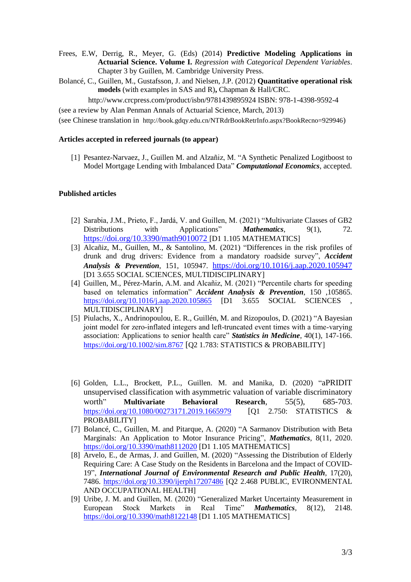- Frees, E.W, Derrig, R., Meyer, G. (Eds) (2014) **Predictive Modeling Applications in Actuarial Science. Volume I.** *Regression with Categorical Dependent Variables*. Chapter 3 by Guillen, M. Cambridge University Press.
- Bolancé, C., Guillen, M., Gustafsson, J. and Nielsen, J.P. (2012) **Quantitative operational risk models** (with examples in SAS and R)**,** Chapman & Hall/CRC.

http://www.crcpress.com/product/isbn/9781439895924 ISBN: 978-1-4398-9592-4

(see a review by Alan Penman Annals of Actuarial Science, March, 2013)

(see Chinese translation in http://book.gdqy.edu.cn/NTRdrBookRetrInfo.aspx?BookRecno=929946)

# **Articles accepted in refereed journals (to appear)**

[1] Pesantez-Narvaez, J., Guillen M. and Alzañiz, M. ["A Synthetic Penalized Logitboost to](https://www-scopus-com.sire.ub.edu/record/display.uri?eid=2-s2.0-85094809268&origin=resultslist&sort=plf-f&src=s&st1=guillen&st2=montserrat&nlo=1&nlr=20&nls=afprfnm-t&sid=e821e687efc0ae243cd28d83aea21c65&sot=anl&sdt=aut&sl=39&s=AU-ID%28%22Guillen%2c+Montserrat%22+7103020782%29&relpos=13&citeCnt=0&searchTerm=)  [Model Mortgage Lending with Imbalanced Data"](https://www-scopus-com.sire.ub.edu/record/display.uri?eid=2-s2.0-85094809268&origin=resultslist&sort=plf-f&src=s&st1=guillen&st2=montserrat&nlo=1&nlr=20&nls=afprfnm-t&sid=e821e687efc0ae243cd28d83aea21c65&sot=anl&sdt=aut&sl=39&s=AU-ID%28%22Guillen%2c+Montserrat%22+7103020782%29&relpos=13&citeCnt=0&searchTerm=) *[Computational Economics](https://www-scopus-com.sire.ub.edu/sourceid/19053?origin=resultslist)*, accepted.

# **Published articles**

- [2] Sarabia, J.M., Prieto, F., Jardá, V. and Guillen, M. (2021) "Multivariate Classes of GB2 Distributions with Applications" *Mathematics*, 9(1), 72. <https://doi.org/10.3390/math9010072> [D1 1.105 MATHEMATICS]
- [3] Alcañiz, M., Guillen, M., & Santolino, M. (2021) "Differences in the risk profiles of drunk and drug drivers: Evidence from a mandatory roadside survey", *Accident Analysis & Prevention*, 151, 105947. <https://doi.org/10.1016/j.aap.2020.105947> [D1 3.655 SOCIAL SCIENCES, MULTIDISCIPLINARY]
- [4] Guillen, M., Pérez-Marín, A.M. and Alcañiz, M. (2021) "Percentile charts for speeding based on telematics information" *Accident Analysis & Prevention*, 150 ,105865. <https://doi.org/10.1016/j.aap.2020.105865> [D1 3.655 SOCIAL SCIENCES MULTIDISCIPLINARY]
- [5] Piulachs, X., Andrinopoulou, E. R., Guillén, M. and Rizopoulos, D. (2021) "A Bayesian joint model for zero-inflated integers and left-truncated event times with a time-varying association: Applications to senior health care" *Statistics in Medicine*, 40(1), 147-166. <https://doi.org/10.1002/sim.8767> [Q2 1.783: STATISTICS & PROBABILITY]
- [6] Golden, L.L., Brockett, P.L., Guillen. M. and Manika, D. (2020) "aPRIDIT unsupervised classification with asymmetric valuation of variable discriminatory worth" **Multivariate Behavioral Research**, 55(5), 685-703. <https://doi.org/10.1080/00273171.2019.1665979> [Q1 2.750: STATISTICS & PROBABILITY]
- [7] Bolancé, C., Guillen, M. and Pitarque, A. (2020) "A Sarmanov Distribution with Beta Marginals: An Application to Motor Insurance Pricing", *Mathematics*, 8(11, 2020. <https://doi.org/10.3390/math8112020> [D1 1.105 MATHEMATICS]
- [8] Arvelo, E., de Armas, J. and Guillen, M. (2020) "Assessing the Distribution of Elderly Requiring Care: A Case Study on the Residents in Barcelona and the Impact of COVID-19", *International Journal of Environmental Research and Public Health*, 17(20), 7486. <https://doi.org/10.3390/ijerph17207486> [Q2 2.468 PUBLIC, EVIRONMENTAL AND OCCUPATIONAL HEALTH]
- [9] Uribe, J. M. and Guillen, M. (2020) "Generalized Market Uncertainty Measurement in European Stock Markets in Real Time" *Mathematics*, 8(12), 2148. <https://doi.org/10.3390/math8122148> [D1 1.105 MATHEMATICS]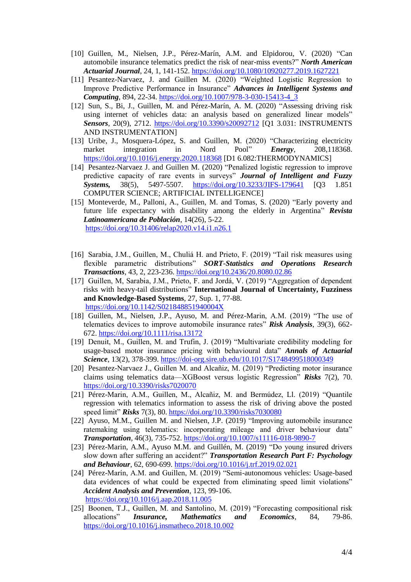- [10] Guillen, M., Nielsen, J.P., Pérez-Marín, A.M. and Elpidorou, V. (2020) "Can automobile insurance telematics predict the risk of near-miss events?" *North American Actuarial Journal*, 24, 1, 141-152.<https://doi.org/10.1080/10920277.2019.1627221>
- [11] Pesantez-Narvaez, J. and Guillen M. (2020) "Weighted Logistic Regression to Improve Predictive Performance in Insurance" *Advances in Intelligent Systems and Computing*, 894, 22-34. [https://doi.org/10.1007/978-3-030-15413-4\\_3](https://doi.org/10.1007/978-3-030-15413-4_3)
- [12] Sun, S., Bi, J., Guillen, M. and Pérez-Marín, A. M. (2020) "Assessing driving risk using internet of vehicles data: an analysis based on generalized linear models" *Sensors*, 20(9), 2712. <https://doi.org/10.3390/s20092712> [Q1 3.031: INSTRUMENTS AND INSTRUMENTATION]
- [13] Uribe, J., [Mosquera-López, S.](https://www-scopus-com.sire.ub.edu/authid/detail.uri?origin=resultslist&authorId=57193541412&zone=) and [Guillen, M.](https://www-scopus-com.sire.ub.edu/authid/detail.uri?origin=resultslist&authorId=7103020782&zone=) (2020) "Characterizing electricity market integration in Nord Pool" *Energy*, 208,118368. <https://doi.org/10.1016/j.energy.2020.118368> [D1 6.082:THERMODYNAMICS]
- [14] Pesantez-Narvaez J. and Guillen M. (2020) "Penalized logistic regression to improve predictive capacity of rare events in surveys" *Journal of Intelligent and Fuzzy Systems,* 38(5), 5497-5507. <https://doi.org/10.3233/JIFS-179641> [Q3 1.851 COMPUTER SCIENCE; ARTIFICIAL INTELLIGENCE]
- [15] Monteverde, M., Palloni, A., Guillen, M. and Tomas, S. (2020) "Early poverty and future life expectancy with disability among the elderly in Argentina" *Revista Latinoamericana de Población*, 14(26), 5-22. <https://doi.org/10.31406/relap2020.v14.i1.n26.1>
- [16] Sarabia, J.M., Guillen, M., Chuliá H. and Prieto, F. (2019) "Tail risk measures using flexible parametric distributions" *SORT-Statistics and Operations Research Transactions*, 43, 2, 223-236.<https://doi.org/10.2436/20.8080.02.86>
- [17] Guillen, M, Sarabia, J.M., Prieto, F. and Jordá, V. (2019) "Aggregation of dependent risks with heavy-tail distributions" **International Journal of Uncertainty, Fuzziness and Knowledge-Based Systems**, 27, Sup. 1, 77-88. <https://doi.org/10.1142/S021848851940004X>
- [18] Guillen, M., Nielsen, J.P., Ayuso, M. and Pérez-Marin, A.M. (2019) "The use of telematics devices to improve automobile insurance rates" *Risk Analysis*, 39(3), 662- 672.<https://doi.org/10.1111/risa.13172>
- [19] Denuit, M., Guillen, M. and Trufin, J. (2019) "Multivariate credibility modeling for usage-based motor insurance pricing with behavioural data" *Annals of Actuarial Science*, 13(2), 378-399.<https://doi-org.sire.ub.edu/10.1017/S1748499518000349>
- [20] Pesantez-Narvaez J., Guillen M. and Alcañiz, M. (2019) "Predicting motor insurance claims using telematics data—XGBoost versus logistic Regression" *Risks* 7(2), 70. <https://doi.org/10.3390/risks7020070>
- [21] Pérez-Marin, A.M., Guillen, M., Alcañiz, M. and Bermúdez, Ll. (2019) "Quantile regression with telematics information to assess the risk of driving above the posted speed limit" *Risks* 7(3), 80.<https://doi.org/10.3390/risks7030080>
- [22] Ayuso, M.M., Guillen M. and Nielsen, J.P. (2019) "Improving automobile insurance ratemaking using telematics: incorporating mileage and driver behaviour data" *Transportation*, 46(3), 735-752.<https://doi.org/10.1007/s11116-018-9890-7>
- [23] Pérez-Marin, A.M., Ayuso M.M. and Guillén, M. (2019) "Do young insured drivers slow down after suffering an accident?" *Transportation Research Part F: Psychology and Behaviour*, 62, 690-699[. https://doi.org/10.1016/j.trf.2019.02.021](https://doi.org/10.1016/j.trf.2019.02.021)
- [24] Pérez-Marín, A.M. and Guillen, M. (2019) "Semi-autonomous vehicles: Usage-based data evidences of what could be expected from eliminating speed limit violations" *Accident Analysis and Prevention*, 123, 99-106. <https://doi.org/10.1016/j.aap.2018.11.005>
- [25] Boonen, T.J., Guillen, M. and Santolino, M. (2019) "Forecasting compositional risk allocations" *Insurance, Mathematics and Economics*, 84, 79-86. <https://doi.org/10.1016/j.insmatheco.2018.10.002>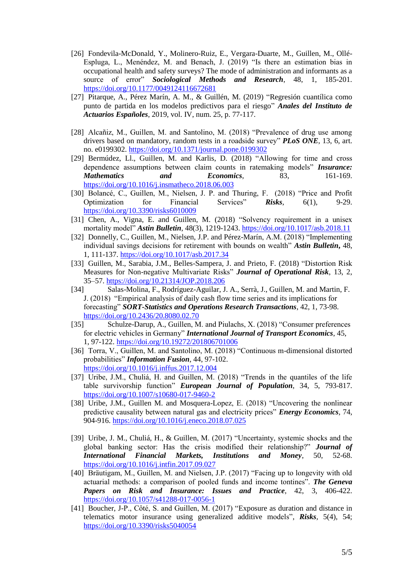- [26] Fondevila-McDonald, Y., Molinero-Ruiz, E., Vergara-Duarte, M., Guillen, M., Ollé-Espluga, L., Menéndez, M. and Benach, J. (2019) "Is there an estimation bias in occupational health and safety surveys? The mode of administration and informants as a source of error" *Sociological Methods and Research*, 48, 1, 185-201. <https://doi.org/10.1177/0049124116672681>
- [27] Pitarque, A., Pérez Marín, A. M., & Guillén, M. (2019) "Regresión cuantílica como punto de partida en los modelos predictivos para el riesgo" *Anales del Instituto de Actuarios Españoles*, 2019, vol. IV, num. 25, p. 77-117.
- [28] Alcañiz, M., Guillen, M. and Santolino, M. (2018) "Prevalence of drug use among drivers based on mandatory, random tests in a roadside survey" *PLoS ONE*, 13, 6, art. no. e0199302.<https://doi.org/10.1371/journal.pone.0199302>
- [29] Bermúdez, Ll., Guillen, M. and Karlis, D. (2018) "Allowing for time and cross dependence assumptions between claim counts in ratemaking models" *Insurance: Mathematics* and *Economics*, 83, 161-169. <https://doi.org/10.1016/j.insmatheco.2018.06.003>
- [30] Bolancé, C., Guillen, M., Nielsen, J. P. and Thuring, F. (2018) "Price and Profit Optimization for Financial Services" *Risks*, 6(1), 9-29. <https://doi.org/10.3390/risks6010009>
- [31] Chen, A., Vigna, E. and Guillen, M. (2018) "Solvency requirement in a unisex mortality model" *Astin Bulletin*, 48(3), 1219-1243.<https://doi.org/10.1017/asb.2018.11>
- [32] Donnelly, C., Guillen, M., Nielsen, J.P. and Pérez-Marín, A.M. (2018) "Implementing individual savings decisions for retirement with bounds on wealth" *Astin Bulletin***,** 48, 1, 111-137. <https://doi.org/10.1017/asb.2017.34>
- [33] Guillen, M., Sarabia, J.M., Belles-Sampera, J. and Prieto, F. (2018) "Distortion Risk Measures for Non-negative Multivariate Risks" *Journal of Operational Risk*, 13, 2, 35–57.<https://doi.org/10.21314/JOP.2018.206>
- [34] Salas-Molina, F., Rodríguez-Aguilar, J. A., Serrà, J., Guillen, M. and Martin, F. J. (2018) "Empirical analysis of daily cash flow time series and its implications for forecasting" *SORT-Statistics and Operations Research Transactions*, 42, 1, 73-98. <https://doi.org/10.2436/20.8080.02.70>
- [35] Schulze-Darup, A., Guillen, M. and Piulachs, X. (2018) "Consumer preferences for electric vehicles in Germany" *International Journal of Transport Economics*, 45, 1, 97-122. <https://doi.org/10.19272/201806701006>
- [36] Torra, V., Guillen, M. and Santolino, M. (2018) "Continuous m-dimensional distorted probabilities" *Information Fusion*, 44, 97-102. <https://doi.org/10.1016/j.inffus.2017.12.004>
- [37] Uribe, J.M., Chuliá, H. and Guillen, M. (2018) "Trends in the quantiles of the life table survivorship function" *European Journal of Population*, 34, 5, 793-817. <https://doi.org/10.1007/s10680-017-9460-2>
- [38] Uribe, J.M., Guillen M. and Mosquera-Lopez, E. (2018) "Uncovering the nonlinear predictive causality between natural gas and electricity prices" *Energy Economics*, 74, 904-916.<https://doi.org/10.1016/j.eneco.2018.07.025>
- [39] Uribe, J. M., Chuliá, H., & Guillen, M. (2017) "Uncertainty, systemic shocks and the global banking sector: Has the crisis modified their relationship?" *Journal of International Financial Markets, Institutions and Money*, 50, 52-68. <https://doi.org/10.1016/j.intfin.2017.09.027>
- [40] Bräutigam, M., Guillen, M. and Nielsen, J.P. (2017) "Facing up to longevity with old actuarial methods: a comparison of pooled funds and income tontines". *The Geneva Papers on Risk and Insurance: Issues and Practice*, 42, 3, 406-422. <https://doi.org/10.1057/s41288-017-0056-1>
- [41] Boucher, J-P., Côté, S. and Guillen, M. (2017) "Exposure as duration and distance in telematics motor insurance using generalized additive models", *Risks,* 5(4), 54; <https://doi.org/10.3390/risks5040054>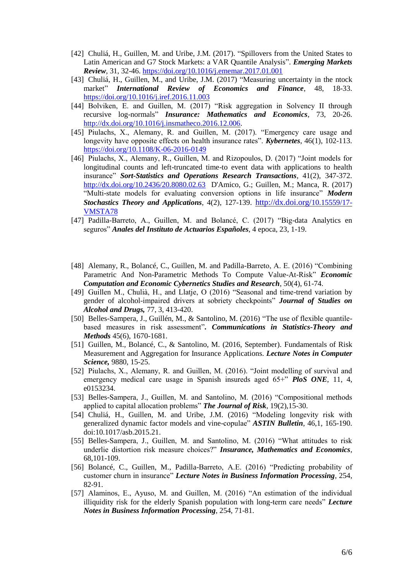- [42] Chuliá, H., Guillen, M. and Uribe, J.M. (2017). "Spillovers from the United States to Latin American and G7 Stock Markets: a VAR Quantile Analysis". *Emerging Markets Review*, 31, 32-46. <https://doi.org/10.1016/j.ememar.2017.01.001>
- [43] Chuliá, H., Guillen, M., and Uribe, J.M. (2017) "Measuring uncertainty in the ntock market" *International Review of Economics and Finance*, 48, 18-33. <https://doi.org/10.1016/j.iref.2016.11.003>
- [44] Bolviken, E. and Guillen, M. (2017) "Risk aggregation in Solvency II through recursive log-normals" *Insurance: Mathematics and Economics*, 73, 20-26. [http://dx.doi.org/10.1016/j.insmatheco.2016.12.006.](http://dx.doi.org/10.1016/j.insmatheco.2016.12.006)
- [45] Piulachs, X., Alemany, R. and Guillen, M. (2017). "Emergency care usage and longevity have opposite effects on health insurance rates". *Kybernetes*, 46(1), 102-113. <https://doi.org/10.1108/K-06-2016-0149>
- [46] Piulachs, X., Alemany, R., Guillen, M. and Rizopoulos, D. (2017) "Joint models for longitudinal counts and left-truncated time-to event data with applications to health insurance" *Sort-Statistics and Operations Research Transactions*, 41(2), 347-372. <http://dx.doi.org/10.2436/20.8080.02.63>D'Amico, G.; Guillen, M.; Manca, R. (2017) "Multi-state models for evaluating conversion options in life insurance" *Modern Stochastics Theory and Applications*, 4(2), 127-139. [http://dx.doi.org/](http://dx.doi.org/10.15559/17-VMSTA78)10.15559/17- [VMSTA78](http://dx.doi.org/10.15559/17-VMSTA78)
- [47] Padilla-Barreto, A., Guillen, M. and Bolancé, C. (2017) "Big-data Analytics en seguros" *Anales del Instituto de Actuarios Españoles*, 4 epoca, 23, 1-19.
- [48] Alemany, R., Bolancé, C., Guillen, M. and Padilla-Barreto, A. E. (2016) "Combining Parametric And Non-Parametric Methods To Compute Value-At-Risk" *Economic Computation and Economic Cybernetics Studies and Research*, 50(4), 61-74.
- [49] Guillen M., Chulià, H., and Llatje, O (2016) "Seasonal and time-trend variation by gender of alcohol-impaired drivers at sobriety checkpoints" *Journal of Studies on Alcohol and Drugs,* 77, 3, 413-420.
- [50] Belles-Sampera, J., Guillén, M., & Santolino, M. (2016) "The use of flexible quantilebased measures in risk assessment"*. Communications in Statistics-Theory and Methods* 45(6), 1670-1681.
- [51] Guillen, M., Bolancé, C., & Santolino, M. (2016, September). Fundamentals of Risk Measurement and Aggregation for Insurance Applications. *Lecture Notes in Computer Science,* 9880, 15-25.
- [52] Piulachs, X., Alemany, R. and Guillen, M. (2016). "Joint modelling of survival and emergency medical care usage in Spanish insureds aged 65+" *PloS ONE*, 11, 4, e0153234.
- [53] Belles-Sampera, J., Guillen, M. and Santolino, M. (2016) "Compositional methods applied to capital allocation problems" *The Journal of Risk*, 19(2),15-30.
- [54] Chuliá, H., Guillen, M. and Uribe, J.M. (2016) "Modeling longevity risk with generalized dynamic factor models and vine-copulae" *ASTIN Bulletin*, 46,1, 165-190. doi:10.1017/asb.2015.21.
- [55] Belles-Sampera, J., Guillen, M. and Santolino, M. (2016) "What attitudes to risk underlie distortion risk measure choices?" *Insurance, Mathematics and Economics*, 68,101-109.
- [56] Bolancé, C., Guillen, M., Padilla-Barreto, A.E. (2016) "Predicting probability of customer churn in insurance" *Lecture Notes in Business Information Processing*, 254, 82-91.
- [57] Alaminos, E., Ayuso, M. and Guillen, M. (2016) "An estimation of the individual illiquidity risk for the elderly Spanish population with long-term care needs" *Lecture Notes in Business Information Processing*, 254, 71-81.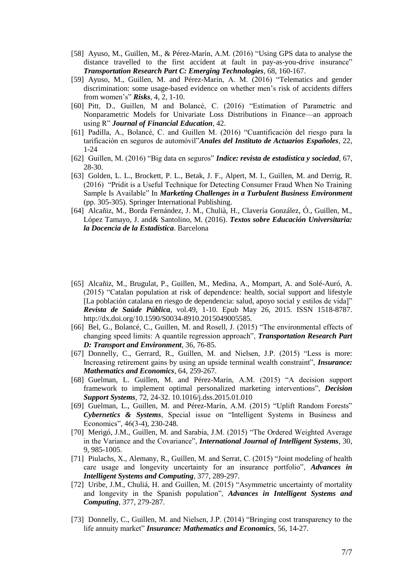- [58] Ayuso, M., Guillen, M., & Pérez-Marín, A.M. (2016) "Using GPS data to analyse the distance travelled to the first accident at fault in pay-as-you-drive insurance" *Transportation Research Part C: Emerging Technologies*, 68, 160-167.
- [59] Ayuso, M., Guillen, M. and Pérez-Marín, A. M. (2016) "Telematics and gender discrimination: some usage-based evidence on whether men's risk of accidents differs from women's" *Risks*, 4, 2, 1-10.
- [60] Pitt, D., Guillen, M and Bolancé, C. (2016) "Estimation of Parametric and Nonparametric Models for Univariate Loss Distributions in Finance—an approach using R" *Journal of Financial Education*, 42.
- [61] Padilla, A., Bolancé, C. and Guillen M. (2016) "Cuantificación del riesgo para la tarificación en seguros de automóvil"*Anales del Instituto de Actuarios Españoles*, 22, 1-24
- [62] Guillen, M. (2016) "Big data en seguros" *Indice: revista de estadística y sociedad*, 67, 28-30.
- [63] Golden, L. L., Brockett, P. L., Betak, J. F., Alpert, M. I., Guillen, M. and Derrig, R. (2016) "Pridit is a Useful Technique for Detecting Consumer Fraud When No Training Sample Is Available" In *Marketing Challenges in a Turbulent Business Environment* (pp. 305-305). Springer International Publishing.
- [64] Alcañiz, M., Borda Fernández, J. M., Chulià, H., Clavería González, Ó., Guillen, M., López Tamayo, J. and& Santolino, M. (2016). *Textos sobre Educación Universitaria: la Docencia de la Estadística*. Barcelona
- [65] Alcañiz, M., Brugulat, P., Guillen, M., Medina, A., Mompart, A. and Solé-Auró, A. (2015) "Catalan population at risk of dependence: health, social support and lifestyle [La población catalana en riesgo de dependencia: salud, apoyo social y estilos de vida]" *Revista de Saúde Pública*, vol.49, 1-10. Epub May 26, 2015. ISSN 1518-8787. http://dx.doi.org/10.1590/S0034-8910.2015049005585.
- [66] Bel, G., Bolancé, C., Guillen, M. and Rosell, J. (2015) "The environmental effects of changing speed limits: A quantile regression approach", *Transportation Research Part D: Transport and Environment*, 36, 76-85.
- [67] Donnelly, C., Gerrard, R., Guillen, M. and Nielsen, J.P. (2015) "Less is more: Increasing retirement gains by using an upside terminal wealth constraint", *Insurance: Mathematics and Economics*, 64, 259-267.
- [68] Guelman, L. Guillen, M. and Pérez-Marín, A.M. (2015) "A decision support framework to implement optimal personalized marketing interventions", *Decision Support Systems*, 72, 24-32. 10.1016/j.dss.2015.01.010
- [69] Guelman, L., Guillen, M. and Pérez-Marín, A.M. (2015) "Uplift Random Forests" *Cybernetics & Systems*, Special issue on "Intelligent Systems in Business and Economics", 46(3-4), 230-248.
- [70] Merigó, J.M., Guillen, M. and Sarabia, J.M. (2015) "The Ordered Weighted Average in the Variance and the Covariance", *International Journal of Intelligent Systems*, 30, 9, 985-1005.
- [71] Piulachs, X., Alemany, R., Guillen, M. and Serrat, C. (2015) "Joint modeling of health care usage and longevity uncertainty for an insurance portfolio", *Advances in Intelligent Systems and Computing*, 377, 289-297.
- [72] Uribe, J.M., Chuliá, H. and Guillen, M. (2015) "Asymmetric uncertainty of mortality and longevity in the Spanish population", *Advances in Intelligent Systems and Computing*, 377, 279-287.
- [73] Donnelly, C., Guillen, M. and Nielsen, J.P. (2014) "Bringing cost transparency to the life annuity market" *Insurance: Mathematics and Economics*, 56, 14-27.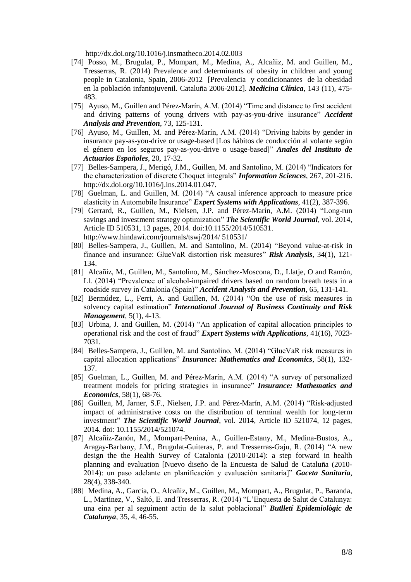<http://dx.doi.org/10.1016/j.insmatheco.2014.02.003>

- [74] Posso, M., Brugulat, P., Mompart, M., Medina, A., Alcañiz, M. and Guillen, M., Tresserras, R. (2014) Prevalence and determinants of obesity in children and young people in Catalonia, Spain, 2006-2012 [Prevalencia y condicionantes de la obesidad en la población infantojuvenil. Cataluña 2006-2012]. *Medicina Clínica*, 143 (11), 475- 483.
- [75] Ayuso, M., Guillen and Pérez-Marín, A.M. (2014) "Time and distance to first accident and driving patterns of young drivers with pay-as-you-drive insurance" *Accident Analysis and Prevention*, 73, 125-131.
- [76] Ayuso, M., Guillen, M. and Pérez-Marín, A.M. (2014) "Driving habits by gender in insurance pay-as-you-drive or usage-based [Los hábitos de conducción al volante según el género en los seguros pay-as-you-drive o usage-based]" *Anales del Instituto de Actuarios Españoles*, 20, 17-32.
- [77] Belles-Sampera, J., Merigó, J.M., Guillen, M. and Santolino, M. (2014) "Indicators for the characterization of discrete Choquet integrals" *Information Sciences*, 267, 201-216. http://dx.doi.org/10.1016/j.ins.2014.01.047.
- [78] Guelman, L. and Guillen, M. (2014) "A causal inference approach to measure price elasticity in Automobile Insurance" *Expert Systems with Applications*, 41(2), 387-396.
- [79] Gerrard, R., Guillen, M., Nielsen, J.P. and Pérez-Marín, A.M. (2014) "Long-run savings and investment strategy optimization" *The Scientific World Journal*, vol. 2014, Article ID 510531, 13 pages, 2014. doi:10.1155/2014/510531. http://www.hindawi.com/journals/tswj/2014/ 510531/
- [80] Belles-Sampera, J., Guillen, M. and Santolino, M. (2014) "Beyond value-at-risk in finance and insurance: GlueVaR distortion risk measures" *Risk Analysis*, 34(1), 121- 134.
- [81] Alcañiz, M., Guillen, M., Santolino, M., Sánchez-Moscona, D., Llatje, O and Ramón, Ll. (2014) "Prevalence of alcohol-impaired drivers based on random breath tests in a roadside survey in Catalonia (Spain)" *Accident Analysis and Prevention*, 65, 131-141.
- [82] Bermúdez, L., Ferri, A. and Guillen, M. (2014) "On the use of risk measures in solvency capital estimation" *International Journal of Business Continuity and Risk Management*, 5(1), 4-13.
- [83] Urbina, J. and Guillen, M. (2014) "An application of capital allocation principles to operational risk and the cost of fraud" *Expert Systems with Applications*, 41(16), 7023- 7031.
- [84] Belles-Sampera, J., Guillen, M. and Santolino, M. (2014) "GlueVaR risk measures in capital allocation applications" *Insurance: Mathematics and Economics*, 58(1), 132- 137.
- [85] Guelman, L., Guillen, M. and Pérez-Marín, A.M. (2014) "A survey of personalized treatment models for pricing strategies in insurance" *Insurance: Mathematics and Economics*, 58(1), 68-76.
- [86] Guillen, M, Jarner, S.F., Nielsen, J.P. and Pérez-Marín, A.M. (2014) "Risk-adjusted impact of administrative costs on the distribution of terminal wealth for long-term investment" *The Scientific World Journal*, vol. 2014, Article ID 521074, 12 pages, 2014. doi: 10.1155/2014/521074.
- [87] Alcañiz-Zanón, M., Mompart-Penina, A., Guillen-Estany, M., Medina-Bustos, A., Aragay-Barbany, J.M., Brugulat-Guiteras, P. and Tresserras-Gaju, R. (2014) "A new design the the Health Survey of Catalonia (2010-2014): a step forward in health planning and evaluation [Nuevo diseño de la Encuesta de Salud de Cataluña (2010- 2014): un paso adelante en planificación y evaluación sanitaria]" *Gaceta Sanitaria*, 28(4), 338-340.
- [88] Medina, A., García, O., Alcañiz, M., Guillen, M., Mompart, A., Brugulat, P., Baranda, L., Martínez, V., Saltó, E. and Tresserras, R. (2014) "L'Enquesta de Salut de Catalunya: una eina per al seguiment actiu de la salut poblacional" *Butlletí Epidemiològic de Catalunya*, 35, 4, 46-55.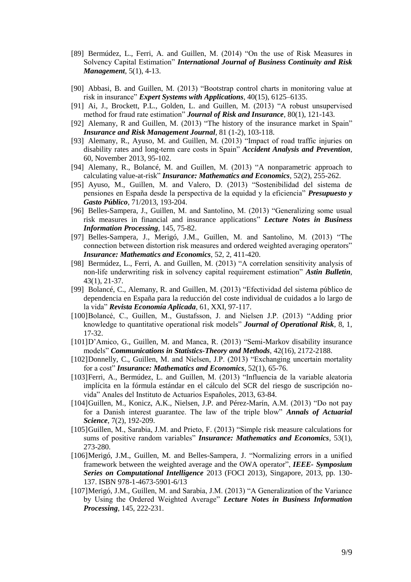- [89] Bermúdez, L., Ferri, A. and Guillen, M. (2014) "On the use of Risk Measures in Solvency Capital Estimation" *International Journal of Business Continuity and Risk Management*, 5(1), 4-13.
- [90] Abbasi, B. and Guillen, M. (2013) "Bootstrap control charts in monitoring value at risk in insurance" *Expert Systems with Applications*, 40(15), 6125–6135.
- [91] Ai, J., Brockett, P.L., Golden, L. and Guillen, M. (2013) "A robust unsupervised method for fraud rate estimation" *Journal of Risk and Insurance*, 80(1), 121-143.
- [92] Alemany, R and Guillen, M. (2013) "The history of the insurance market in Spain" *Insurance and Risk Management Journal*, 81 (1-2), 103-118.
- [93] Alemany, R., Ayuso, M. and Guillen, M. (2013) "Impact of road traffic injuries on disability rates and long-term care costs in Spain" *Accident Analysis and Prevention*, 60, November 2013, 95-102.
- [94] Alemany, R., Bolancé, M. and Guillen, M. (2013) ["A nonparametric approach to](http://www.scopus.com/record/display.url?eid=2-s2.0-84873264091&origin=resultslist&sort=plf-f&src=s&st1=guillen&st2=M&nlo=1&nlr=20&nls=&affilName=BARCELONA&sid=C5583515E515DFA0D5B9598A9991A8B6.aqHV0EoE4xlIF3hgVWgA%3a62&sot=anl&sdt=aut&sl=39&s=AU-ID%28%22Guillen%2c+Montserrat%22+7103020782%29&relpos=0&relpos=0&searchTerm=AU-ID%28%5C%26quot%3BGuillen%2C+Montserrat%5C%26quot%3B+7103020782%29)  [calculating value-at-risk"](http://www.scopus.com/record/display.url?eid=2-s2.0-84873264091&origin=resultslist&sort=plf-f&src=s&st1=guillen&st2=M&nlo=1&nlr=20&nls=&affilName=BARCELONA&sid=C5583515E515DFA0D5B9598A9991A8B6.aqHV0EoE4xlIF3hgVWgA%3a62&sot=anl&sdt=aut&sl=39&s=AU-ID%28%22Guillen%2c+Montserrat%22+7103020782%29&relpos=0&relpos=0&searchTerm=AU-ID%28%5C%26quot%3BGuillen%2C+Montserrat%5C%26quot%3B+7103020782%29) *Insurance: Mathematics and Economics*, 52(2), 255-262.
- [95] Ayuso, M., Guillen, M. and Valero, D. (2013) "Sostenibilidad del sistema de pensiones en España desde la perspectiva de la equidad y la eficiencia" *Presupuesto y Gasto Público*, 71/2013, 193-204.
- [96] Belles-Sampera, J., Guillen, M. and Santolino, M. (2013) "Generalizing some usual risk measures in financial and insurance applications" *Lecture Notes in Business Information Processing*, 145, 75-82.
- [97] Belles-Sampera, J., Merigó, J.M., Guillen, M. and Santolino, M. (2013) "The connection between distortion risk measures and ordered weighted averaging operators" *Insurance: Mathematics and Economics*, 52, 2, 411-420.
- [98] Bermúdez, L., Ferri, A. and Guillen, M. (2013) "A correlation sensitivity analysis of non-life underwriting risk in solvency capital requirement estimation" *Astin Bulletin*, 43(1), 21-37.
- [99] Bolancé, C., Alemany, R. and Guillen, M. (2013) "Efectividad del sistema público de dependencia en España para la reducción del coste individual de cuidados a lo largo de la vida" *Revista Economía Aplicada*, 61, XXI, 97-117.
- [100]Bolancé, C., Guillen, M., Gustafsson, J. and Nielsen J.P. (2013) "Adding prior knowledge to quantitative operational risk models" *Journal of Operational Risk*, 8, 1, 17-32.
- [101]D'Amico, G., Guillen, M. and Manca, R. (2013) "Semi-Markov disability insurance models" *Communications in Statistics-Theory and Methods*, 42(16), 2172-2188.
- [102]Donnelly, C., Guillen, M. and Nielsen, J.P. (2013) "Exchanging uncertain mortality for a cost" *Insurance: Mathematics and Economics*, 52(1), 65-76.
- [103]Ferri, A., Bermúdez, L. and Guillen, M. (2013) "Influencia de la variable aleatoria implícita en la fórmula estándar en el cálculo del SCR del riesgo de suscripción novida" Anales del Instituto de Actuarios Españoles, 2013, 63-84.
- [104]Guillen, M., Konicz, A.K., Nielsen, J.P. and Pérez-Marín, A.M. (2013) "Do not pay for a Danish interest guarantee. The law of the triple blow" *Annals of Actuarial Science*, 7(2), 192-209.
- [105]Guillen, M., Sarabia, J.M. and Prieto, F. (2013) "Simple risk measure calculations for sums of positive random variables" *Insurance: Mathematics and Economics*, 53(1), 273-280.
- [106]Merigó, J.M., Guillen, M. and Belles-Sampera, J. "Normalizing errors in a unified framework between the weighted average and the OWA operator", *IEEE- Symposium Series on Computational Intelligence* 2013 (FOCI 2013), Singapore, 2013, pp. 130- 137. ISBN 978-1-4673-5901-6/13
- [107]Merigó, J.M., Guillen, M. and Sarabia, J.M. (2013) "A Generalization of the Variance by Using the Ordered Weighted Average" *Lecture Notes in Business Information Processing*, 145, 222-231.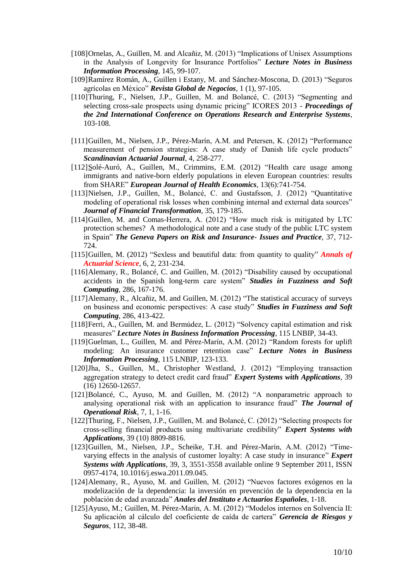- [108]Ornelas, A., Guillen, M. and Alcañiz, M. (2013) "Implications of Unisex Assumptions in the Analysis of Longevity for Insurance Portfolios" *Lecture Notes in Business Information Processing*, 145, 99-107.
- [109]Ramírez Román, A., Guillen i Estany, M. and Sánchez-Moscona, D. (2013) "Seguros agrícolas en México" *Revista Global de Negocios*, 1 (1), 97-105.
- [110]Thuring, F., Nielsen, J.P., Guillen, M. and Bolancé, C. (2013) "Segmenting and selecting cross-sale prospects using dynamic pricing" ICORES 2013 - *Proceedings of the 2nd International Conference on Operations Research and Enterprise Systems*, 103-108.
- [111]Guillen, M., Nielsen, J.P., Pérez-Marín, A.M. and Petersen, K. (2012) "Performance measurement of pension strategies: A case study of Danish life cycle products" *Scandinavian Actuarial Journal*, 4, 258-277.
- [112]Solé-Auró, A., Guillen, M., Crimmins, E.M. (2012) "Health care usage among immigrants and native-born elderly populations in eleven European countries: results from SHARE" *European Journal of Health Economics*, 13(6):741-754.
- [113]Nielsen, J.P., Guillen, M., Bolancé, C. and Gustafsson, J. (2012) "Quantitative modeling of operational risk losses when combining internal and external data sources" *Journal of Financial Transformation*, 35, 179-185.
- [114]Guillen, M. and Comas-Herrera, A. (2012) "How much risk is mitigated by LTC protection schemes? A methodological note and a case study of the public LTC system in Spain" *The Geneva Papers on Risk and Insurance- Issues and Practice*, 37, 712- 724.
- [115]Guillen, M. (2012) "Sexless and beautiful data: from quantity to quality" *Annals of Actuarial Science*, 6, 2, 231-234.
- [116]Alemany, R., Bolancé, C. and Guillen, M. (2012) "Disability caused by occupational accidents in the Spanish long-term care system" *Studies in Fuzziness and Soft Computing*, 286, 167-176.
- [117]Alemany, R., Alcañiz, M. and Guillen, M. (2012) "The statistical accuracy of surveys on business and economic perspectives: A case study" *Studies in Fuzziness and Soft Computing*, 286, 413-422.
- [118]Ferri, A., Guillen, M. and Bermúdez, L. (2012) "Solvency capital estimation and risk measures" *Lecture Notes in Business Information Processing*, 115 LNBIP, 34-43.
- [119]Guelman, L., Guillen, M. and Pérez-Marín, A.M. (2012) "Random forests for uplift modeling: An insurance customer retention case" *Lecture Notes in Business Information Processing*, 115 LNBIP, 123-133.
- [120]Jha, S., Guillen, M., Christopher Westland, J. (2012) "Employing transaction aggregation strategy to detect credit card fraud" *Expert Systems with Applications*, 39 (16) 12650-12657.
- [121]Bolancé, C., Ayuso, M. and Guillen, M. (2012) "A nonparametric approach to analysing operational risk with an application to insurance fraud" *The Journal of Operational Risk*, 7, 1, 1-16.
- [122]Thuring, F., Nielsen, J.P., Guillen, M. and Bolancé, C. (2012) "Selecting prospects for cross-selling financial products using multivariate credibility" *Expert Systems with Applications*, 39 (10) 8809-8816.
- [123]Guillen, M., Nielsen, J.P., Scheike, T.H. and Pérez-Marín, A.M. (2012) "Timevarying effects in the analysis of customer loyalty: A case study in insurance" *Expert Systems with Applications*, 39, 3, 3551-3558 available online 9 September 2011, ISSN 0957-4174, 10.1016/j.eswa.2011.09.045.
- [124]Alemany, R., Ayuso, M. and Guillen, M. (2012) "Nuevos factores exógenos en la modelización de la dependencia: la inversión en prevención de la dependencia en la población de edad avanzada" *Anales del Instituto e Actuarios Españoles*, 1-18.
- [125]Ayuso, M.; Guillen, M. Pérez-Marín, A. M. (2012) "Modelos internos en Solvencia II: Su aplicación al cálculo del coeficiente de caída de cartera" *Gerencia de Riesgos y Seguros*, 112, 38-48.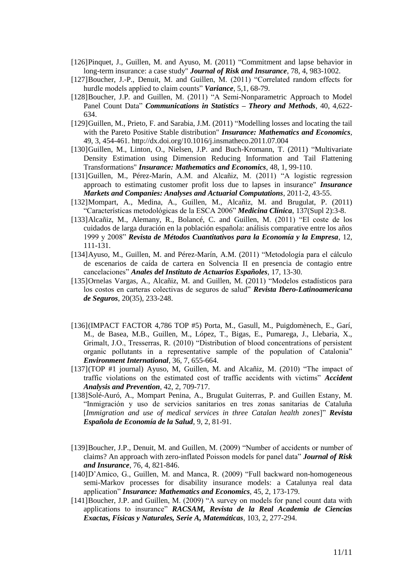- [126]Pinquet, J., Guillen, M. and Ayuso, M. (2011) "Commitment and lapse behavior in long-term insurance: a case study" *Journal of Risk and Insurance*, 78, 4, 983-1002.
- [127]Boucher, J.-P., Denuit, M. and Guillen, M. (2011) "Correlated random effects for hurdle models applied to claim counts" *Variance*, 5,1, 68-79.
- [128]Boucher, J.P. and Guillen, M. (2011) "A Semi-Nonparametric Approach to Model Panel Count Data" *Communications in Statistics – Theory and Methods*, 40, 4,622- 634.
- [129]Guillen, M., Prieto, F. and Sarabia, J.M. (2011) "Modelling losses and locating the tail with the Pareto Positive Stable distribution" *Insurance: Mathematics and Economics*, 49, 3, 454-461. http://dx.doi.org/10.1016/j.insmatheco.2011.07.004
- [130]Guillen, M., Linton, O., Nielsen, J.P. and Buch-Kromann, T. (2011) "Multivariate Density Estimation using Dimension Reducing Information and Tail Flattening Transformations" *Insurance: Mathematics and Economics*, 48, 1, 99-110.
- [131]Guillen, M., Pérez-Marín, A.M. and Alcañiz, M. (2011) "A logistic regression approach to estimating customer profit loss due to lapses in insurance" *Insurance Markets and Companies: Analyses and Actuarial Computations*, 2011-2, 43-55.
- [132]Mompart, A., Medina, A., Guillen, M., Alcañiz, M. and Brugulat, P. (2011) "Características metodológicas de la ESCA 2006" *Medicina Clínica*, 137(Supl 2):3-8.
- [133]Alcañiz, M., Alemany, R., Bolancé, C. and Guillen, M. (2011) "El coste de los cuidados de larga duración en la población española: análisis comparative entre los años 1999 y 2008" *Revista de Métodos Cuantitativos para la Economía y la Empresa*, 12, 111-131.
- [134]Ayuso, M., Guillen, M. and Pérez-Marín, A.M. (2011) "Metodología para el cálculo de escenarios de caída de cartera en Solvencia II en presencia de contagio entre cancelaciones" *Anales del Instituto de Actuarios Españoles*, 17, 13-30.
- [135]Ornelas Vargas, A., Alcañiz, M. and Guillen, M. (2011) "Modelos estadísticos para los costos en carteras colectivas de seguros de salud" *Revista Ibero-Latinoamericana de Seguros*, 20(35), 233-248.
- [136](IMPACT FACTOR 4,786 TOP #5) Porta, M., Gasull, M., Puigdomènech, E., Garí, M., de Basea, M.B., Guillen, M., López, T., Bigas, E., Pumarega, J., Llebaria, X., Grimalt, J.O., Tresserras, R. (2010) "Distribution of blood concentrations of persistent organic pollutants in a representative sample of the population of Catalonia" *Environment International*, 36, 7, 655-664.
- [137](TOP #1 journal) Ayuso, M, Guillen, M. and Alcañiz, M. (2010) "The impact of traffic violations on the estimated cost of traffic accidents with victims" *Accident Analysis and Prevention*, 42, 2, 709-717.
- [138]Solé-Auró, A., Mompart Penina, A., Brugulat Guiterras, P. and Guillen Estany, M. "Inmigración y uso de servicios sanitarios en tres zonas sanitarias de Cataluña [*Immigration and use of medical services in three Catalan health zones*]" *Revista Española de Economía de la Salud*, 9, 2, 81-91.
- [139]Boucher, J.P., Denuit, M. and Guillen, M. (2009) "Number of accidents or number of claims? An approach with zero-inflated Poisson models for panel data" *Journal of Risk and Insurance*, 76, 4, 821-846.
- [140]D'Amico, G., Guillen, M. and Manca, R. (2009) "Full backward non-homogeneous semi-Markov processes for disability insurance models: a Catalunya real data application" *Insurance: Mathematics and Economics*, 45, 2, 173-179.
- [141]Boucher, J.P. and Guillen, M. (2009) "A survey on models for panel count data with applications to insurance" *RACSAM, Revista de la Real Academia de Ciencias Exactas, Físicas y Naturales, Serie A, Matemáticas*, 103, 2, 277-294.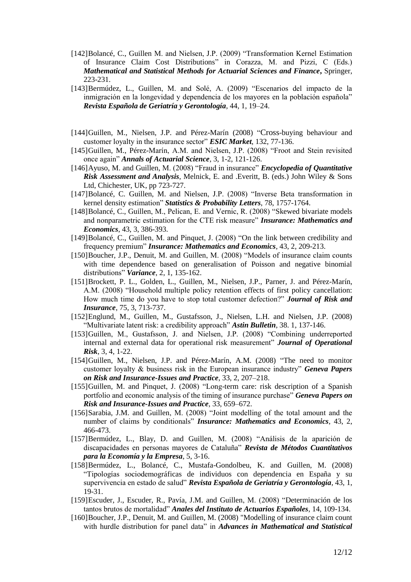- [142]Bolancé, C., Guillen M. and Nielsen, J.P. (2009) "Transformation Kernel Estimation of Insurance Claim Cost Distributions" in Corazza, M. and Pizzi, C (Eds.) *Mathematical and Statistical Methods for Actuarial Sciences and Finance***,** Springer, 223-231.
- [143]Bermúdez, L., Guillen, M. and Solé, A. (2009) "Escenarios del impacto de la inmigración en la longevidad y dependencia de los mayores en la población española" *Revista Española de Geriatría y Gerontología*, 44, 1, 19–24.
- [144]Guillen, M., Nielsen, J.P. and Pérez-Marín (2008) "Cross-buying behaviour and customer loyalty in the insurance sector" *ESIC Market*, 132, 77-136.
- [145]Guillen, M., Pérez-Marín, A.M. and Nielsen, J.P. (2008) "Froot and Stein revisited once again" *Annals of Actuarial Science*, 3, 1-2, 121-126.
- [146]Ayuso, M. and Guillen, M. (2008) "Fraud in insurance" *Encyclopedia of Quantitative Risk Assessment and Analysis*, Melnick, E. and .Everitt, B. (eds.) John Wiley & Sons Ltd, Chichester, UK, pp 723-727.
- [147]Bolancé, C. Guillen, M. and Nielsen, J.P. (2008) "Inverse Beta transformation in kernel density estimation" *Statistics & Probability Letters*, 78, 1757-1764.
- [148]Bolancé, C., Guillen, M., Pelican, E. and Vernic, R. (2008) "Skewed bivariate models and nonparametric estimation for the CTE risk measure" *Insurance: Mathematics and Economics*, 43, 3, 386-393.
- [149]Bolancé, C., Guillen, M. and Pinquet, J. (2008) "On the link between credibility and frequency premium" *Insurance: Mathematics and Economics*, 43, 2, 209-213.
- [150]Boucher, J.P., Denuit, M. and Guillen, M. (2008) "Models of insurance claim counts with time dependence based on generalisation of Poisson and negative binomial distributions" *Variance*, 2, 1, 135-162.
- [151]Brockett, P. L., Golden, L., Guillen, M., Nielsen, J.P., Parner, J. and Pérez-Marín, A.M. (2008) "Household multiple policy retention effects of first policy cancellation: How much time do you have to stop total customer defection?" *Journal of Risk and Insurance*, 75, 3, 713-737.
- [152]Englund, M., Guillen, M., Gustafsson, J., Nielsen, L.H. and Nielsen, J.P. (2008) "Multivariate latent risk: a credibility approach" *Astin Bulletin*, 38. 1, 137-146.
- [153]Guillen, M., Gustafsson, J. and Nielsen, J.P. (2008) "Combining underreported internal and external data for operational risk measurement" *Journal of Operational Risk*, 3, 4, 1-22.
- [154]Guillen, M., Nielsen, J.P. and Pérez-Marín, A.M. (2008) "The need to monitor customer loyalty & business risk in the European insurance industry" *Geneva Papers on Risk and Insurance-Issues and Practice*, 33, 2, 207–218.
- [155]Guillen, M. and Pinquet, J. (2008) "Long-term care: risk description of a Spanish portfolio and economic analysis of the timing of insurance purchase" *Geneva Papers on Risk and Insurance-Issues and Practice*, 33, 659–672.
- [156]Sarabia, J.M. and Guillen, M. (2008) "Joint modelling of the total amount and the number of claims by conditionals" *Insurance: Mathematics and Economics*, 43, 2, 466-473.
- [157]Bermúdez, L., Blay, D. and Guillen, M. (2008) "Análisis de la aparición de discapacidades en personas mayores de Cataluña" *Revista de Métodos Cuantitativos para la Economía y la Empresa*, 5, 3-16.
- [158]Bermúdez, L., Bolancé, C., Mustafa-Gondolbeu, K. and Guillen, M. (2008) "Tipologías sociodemográficas de individuos con dependencia en España y su supervivencia en estado de salud" *Revista Española de Geriatría y Gerontología*, 43, 1, 19-31.
- [159]Escuder, J., Escuder, R., Pavía, J.M. and Guillen, M. (2008) "Determinación de los tantos brutos de mortalidad" *Anales del Instituto de Actuarios Españoles*, 14, 109-134.
- [160]Boucher, J.P., Denuit, M. and Guillen, M. (2008) "Modelling of insurance claim count with hurdle distribution for panel data" in *Advances in Mathematical and Statistical*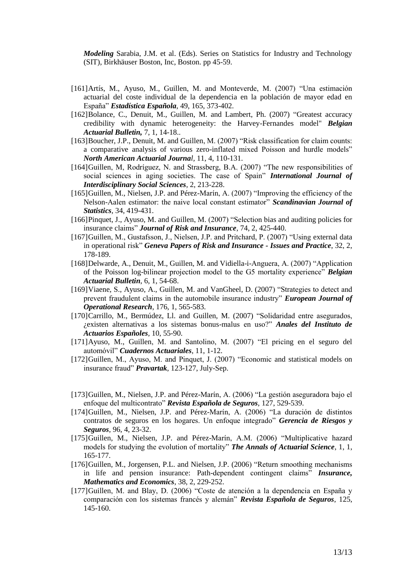*Modeling* Sarabia, J.M. et al. (Eds). Series on Statistics for Industry and Technology (SIT), Birkhäuser Boston, Inc, Boston. pp 45-59.

- [161]Artís, M., Ayuso, M., Guillen, M. and Monteverde, M. (2007) "Una estimación actuarial del coste individual de la dependencia en la población de mayor edad en España" *Estadística Española*, 49, 165, 373-402.
- [162]Bolance, C., Denuit, M., Guillen, M. and Lambert, Ph. (2007) "Greatest accuracy credibility with dynamic heterogeneity: the Harvey-Fernandes model" *Belgian Actuarial Bulletin,* 7, 1, 14-18..
- [163]Boucher, J.P., Denuit, M. and Guillen, M. (2007) "Risk classification for claim counts: a comparative analysis of various zero-inflated mixed Poisson and hurdle models" *North American Actuarial Journal,* 11, 4, 110-131.
- [164]Guillen, M, Rodríguez, N. and Strassberg, B.A. (2007) "The new responsibilities of social sciences in aging societies. The case of Spain" *International Journal of Interdisciplinary Social Sciences*, 2, 213-228.
- [165]Guillen, M., Nielsen, J.P. and Pérez-Marín, A. (2007) "Improving the efficiency of the Nelson-Aalen estimator: the naive local constant estimator" *Scandinavian Journal of Statistics,* 34, 419-431.
- [166]Pinquet, J., Ayuso, M. and Guillen, M. (2007) "Selection bias and auditing policies for insurance claims" *Journal of Risk and Insurance*, 74, 2, 425-440.
- [167]Guillen, M., Gustafsson, J., Nielsen, J.P. and Pritchard, P. (2007) "Using external data in operational risk" *Geneva Papers of Risk and Insurance - Issues and Practice*, 32, 2, 178-189.
- [168]Delwarde, A., Denuit, M., Guillen, M. and Vidiella-i-Anguera, A. (2007) "Application of the Poisson log-bilinear projection model to the G5 mortality experience" *Belgian Actuarial Bulletin*, 6, 1, 54-68.
- [169]Viaene, S., Ayuso, A., Guillen, M. and VanGheel, D. (2007) "Strategies to detect and prevent fraudulent claims in the automobile insurance industry" *European Journal of Operational Research*, 176, 1, 565-583.
- [170]Carrillo, M., Bermúdez, Ll. and Guillen, M. (2007) "Solidaridad entre asegurados, ¿existen alternativas a los sistemas bonus-malus en uso?" *Anales del Instituto de Actuarios Españoles,* 10, 55-90.
- [171]Ayuso, M., Guillen, M. and Santolino, M. (2007) "El pricing en el seguro del automóvil" *Cuadernos Actuariales*, 11, 1-12.
- [172]Guillen, M., Ayuso, M. and Pinquet, J. (2007) "Economic and statistical models on insurance fraud" *Pravartak*, 123-127, July-Sep.
- [173]Guillen, M., Nielsen, J.P. and Pérez-Marín, A. (2006) "La gestión aseguradora bajo el enfoque del multicontrato" *Revista Española de Seguros*, 127, 529-539.
- [174]Guillen, M., Nielsen, J.P. and Pérez-Marín, A. (2006) "La duración de distintos contratos de seguros en los hogares. Un enfoque integrado" *Gerencia de Riesgos y Seguros*, 96, 4, 23-32.
- [175]Guillen, M., Nielsen, J.P. and Pérez-Marín, A.M. (2006) "Multiplicative hazard models for studying the evolution of mortality" *The Annals of Actuarial Science*, 1, 1, 165-177.
- [176]Guillen, M., Jorgensen, P.L. and Nielsen, J.P. (2006) "Return smoothing mechanisms in life and pension insurance: Path-dependent contingent claims" *Insurance, Mathematics and Economics*, 38, 2, 229-252.
- [177]Guillen, M. and Blay, D. (2006) "Coste de atención a la dependencia en España y comparación con los sistemas francés y alemán" *Revista Española de Seguros*, 125, 145-160.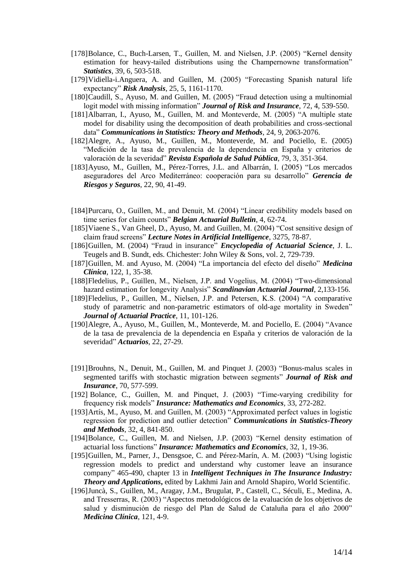- [178]Bolance, C., Buch-Larsen, T., Guillen, M. and Nielsen, J.P. (2005) "Kernel density estimation for heavy-tailed distributions using the Champernowne transformation" *Statistics*, 39, 6, 503-518.
- [179]Vidiella-i.Anguera, A. and Guillen, M. (2005) "Forecasting Spanish natural life expectancy" *Risk Analysis*, 25, 5, 1161-1170.
- [180]Caudill, S., Ayuso, M. and Guillen, M. (2005) "Fraud detection using a multinomial logit model with missing information" *Journal of Risk and Insurance*, 72, 4, 539-550.
- [181]Albarran, I., Ayuso, M., Guillen, M. and Monteverde, M. (2005) "A multiple state model for disability using the decomposition of death probabilities and cross-sectional data" *Communications in Statistics: Theory and Methods*, 24, 9, 2063-2076.
- [182]Alegre, A., Ayuso, M., Guillen, M., Monteverde, M. and Pociello, E. (2005) "Medición de la tasa de prevalencia de la dependencia en España y criterios de valoración de la severidad" *Revista Española de Salud Pública*, 79, 3, 351-364.
- [183]Ayuso, M., Guillen, M., Pérez-Torres, J.L. and Albarrán, I. (2005) "Los mercados aseguradores del Arco Mediterráneo: cooperación para su desarrollo" *Gerencia de Riesgos y Seguros*, 22, 90, 41-49.
- [184]Purcaru, O., Guillen, M., and Denuit, M. (2004) "Linear credibility models based on time series for claim counts" *Belgian Actuarial Bulletin*, 4, 62-74.
- [185]Viaene S., Van Gheel, D., Ayuso, M. and Guillen, M. (2004) "Cost sensitive design of claim fraud screens" *Lecture Notes in Artificial Intelligence*, 3275, 78-87.
- [186]Guillen, M. (2004) "Fraud in insurance" *Encyclopedia of Actuarial Science*, J. L. Teugels and B. Sundt, eds. Chichester: John Wiley & Sons, vol. 2, 729-739.
- [187]Guillen, M. and Ayuso, M. (2004) "La importancia del efecto del diseño" *Medicina Clínica*, 122, 1, 35-38.
- [188]Fledelius, P., Guillen, M., Nielsen, J.P. and Vogelius, M. (2004) "Two-dimensional hazard estimation for longevity Analysis" *Scandinavian Actuarial Journal*, 2,133-156.
- [189]Fledelius, P., Guillen, M., Nielsen, J.P. and Petersen, K.S. (2004) "A comparative study of parametric and non-parametric estimators of old-age mortality in Sweden" *Journal of Actuarial Practice*, 11, 101-126.
- [190]Alegre, A., Ayuso, M., Guillen, M., Monteverde, M. and Pociello, E. (2004) "Avance de la tasa de prevalencia de la dependencia en España y criterios de valoración de la severidad" *Actuarios*, 22, 27-29.
- [191]Brouhns, N., Denuit, M., Guillen, M. and Pinquet J. (2003) "Bonus-malus scales in segmented tariffs with stochastic migration between segments" *Journal of Risk and Insurance*, 70, 577-599.
- [192] Bolance, C., Guillen, M. and Pinquet, J. (2003) "Time-varying credibility for frequency risk models" *Insurance: Mathematics and Economics,* 33, 272-282.
- [193]Artís, M., Ayuso, M. and Guillen, M. (2003) "Approximated perfect values in logistic regression for prediction and outlier detection" *Communications in Statistics-Theory and Methods*, 32, 4, 841-850.
- [194]Bolance, C., Guillen, M. and Nielsen, J.P. (2003) "Kernel density estimation of actuarial loss functions" *Insurance: Mathematics and Economics*, 32, 1, 19-36.
- [195]Guillen, M., Parner, J., Densgsoe, C. and Pérez-Marín, A. M. (2003) "Using logistic regression models to predict and understand why customer leave an insurance company" 465-490, chapter 13 in *Intelligent Techniques in The Insurance Industry: Theory and Applications***,** edited by Lakhmi Jain and Arnold Shapiro, World Scientific.
- [196]Juncà, S., Guillen, M., Aragay, J.M., Brugulat, P., Castell, C., Séculi, E., Medina, A. and Tresserras, R. (2003) "Aspectos metodológicos de la evaluación de los objetivos de salud y disminución de riesgo del Plan de Salud de Cataluña para el año 2000" *Medicina Clínica*, 121, 4-9.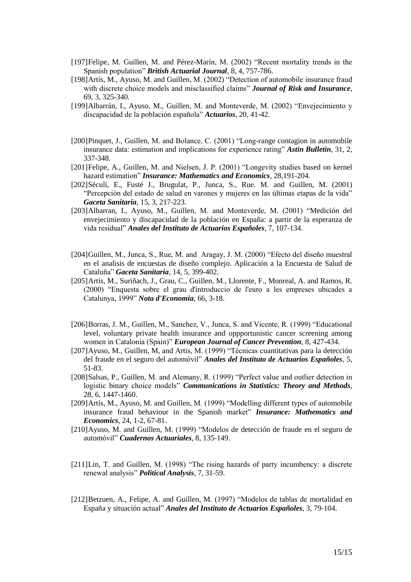- [197]Felipe, M. Guillen, M. and Pérez-Marín, M. (2002) "Recent mortality trends in the Spanish population" *British Actuarial Journal,* 8, 4, 757-786.
- [198]Artís, M., Ayuso, M. and Guillen, M. (2002) "Detection of automobile insurance fraud with discrete choice models and misclassified claims" *Journal of Risk and Insurance*, 69, 3, 325-340.
- [199]Albarrán, I., Ayuso, M., Guillen, M. and Monteverde, M. (2002) "Envejecimiento y discapacidad de la población española" *Actuarios*, 20, 41-42.
- [200]Pinquet, J., Guillen, M. and Bolance, C. (2001) "Long-range contagion in automobile insurance data: estimation and implications for experience rating" *Astin Bulletin*, 31, 2, 337-348.
- [201]Felipe, A., Guillen, M. and Nielsen, J. P. (2001) "Longevity studies based on kernel hazard estimation" *Insurance: Mathematics and Economics*, 28,191-204.
- [202]Séculi, E., Fusté J., Brugulat, P., Junca, S., Rue. M. and Guillen, M. (2001) "Percepción del estado de salud en varones y mujeres en las últimas etapas de la vida" *Gaceta Sanitaria*, 15, 3, 217-223.
- [203]Albarran, I., Ayuso, M., Guillen, M. and Monteverde, M. (2001) "Medición del envejecimiento y discapacidad de la población en España: a partir de la esperanza de vida residual" *Anales del Instituto de Actuarios Españoles*, 7, 107-134.
- [204]Guillen, M., Junca, S., Rue, M. and Aragay, J. M. (2000) "Efecto del diseño muestral en el analisis de encuestas de diseño complejo. Aplicación a la Encuesta de Salud de Cataluña" *Gaceta Sanitaria*, 14, 5, 399-402.
- [205]Artís, M., Suriñach, J., Grau, C., Guillen, M., Llorente, F., Monreal, A. and Ramos, R. (2000) "Enquesta sobre el grau d'introduccio de l'euro a les empreses ubicades a Catalunya, 1999" *Nota d'Economia*, 66, 3-18.
- [206]Borras, J. M., Guillen, M., Sanchez, V., Junca, S. and Vicente, R. (1999) "Educational level, voluntary private health insurance and oppportunistic cancer screening among women in Catalonia (Spain)" *European Journal of Cancer Prevention*, 8, 427-434.
- [207]Ayuso, M., Guillen, M, and Artís, M. (1999) "Técnicas cuantitativas para la detección del fraude en el seguro del automóvil" *Anales del Instituto de Actuarios Españoles*, 5, 51-83.
- [208]Salsas, P., Guillen, M. and Alemany, R. (1999) "Perfect value and outlier detection in logistic binary choice models" *Communications in Statistics: Theory and Methods*, 28, 6, 1447-1460.
- [209]Artís, M., Ayuso, M. and Guillen, M. (1999) "Modelling different types of automobile insurance fraud behaviour in the Spanish market" *Insurance: Mathematics and Economics*, 24, 1-2, 67-81.
- [210]Ayuso, M. and Guillen, M. (1999) "Modelos de detección de fraude en el seguro de automóvil" *Cuadernos Actuariales*, 8, 135-149.
- [211]Lin, T. and Guillen, M. (1998) "The rising hazards of party incumbency: a discrete renewal analysis" *Political Analysis*, 7, 31-59.
- [212]Betzuen, A., Felipe, A. and Guillen, M. (1997) "Modelos de tablas de mortalidad en España y situación actual" *Anales del Instituto de Actuarios Españoles*, 3, 79-104.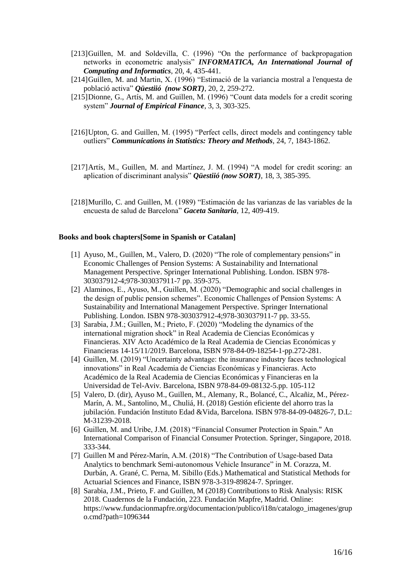- [213]Guillen, M. and Soldevilla, C. (1996) "On the performance of backpropagation networks in econometric analysis" *INFORMATICA, An International Journal of Computing and Informatics*, 20, 4, 435-441.
- [214]Guillen, M. and Martin, X. (1996) "Estimació de la variancia mostral a l'enquesta de població activa" *Qüestiió (now SORT)*, 20, 2, 259-272.
- [215]Dionne, G., Artís, M. and Guillen, M. (1996) "Count data models for a credit scoring system" *Journal of Empirical Finance*, 3, 3, 303-325.
- [216]Upton, G. and Guillen, M. (1995) "Perfect cells, direct models and contingency table outliers" *Communications in Statistics: Theory and Methods*, 24, 7, 1843-1862.
- [217]Artís, M., Guillen, M. and Martínez, J. M. (1994) "A model for credit scoring: an aplication of discriminant analysis" *Qüestiió (now SORT)*, 18, 3, 385-395.
- [218]Murillo, C. and Guillen, M. (1989) "Estimación de las varianzas de las variables de la encuesta de salud de Barcelona" *Gaceta Sanitaria*, 12, 409-419.

#### **Books and book chapters[Some in Spanish or Catalan]**

- [1] Ayuso, M., Guillen, M., Valero, D. (2020) "The role of complementary pensions" in Economic Challenges of Pension Systems: A Sustainability and International Management Perspective. Springer International Publishing. London. ISBN 978- 303037912-4;978-303037911-7 pp. 359-375.
- [2] Alaminos, E., Ayuso, M., Guillen, M. (2020) "Demographic and social challenges in the design of public pension schemes". Economic Challenges of Pension Systems: A Sustainability and International Management Perspective. Springer International Publishing. London. ISBN 978-303037912-4;978-303037911-7 pp. 33-55.
- [3] Sarabia, J.M.; Guillen, M.; Prieto, F. (2020) "Modeling the dynamics of the international migration shock" in Real Academia de Ciencias Económicas y Financieras. XIV Acto Académico de la Real Academia de Ciencias Económicas y Financieras 14-15/11/2019. Barcelona, ISBN 978-84-09-18254-1-pp.272-281.
- [4] Guillen, M. (2019) "Uncertainty advantage: the insurance industry faces technological innovations" in Real Academia de Ciencias Económicas y Financieras. Acto Académico de la Real Academia de Ciencias Económicas y Financieras en la Universidad de Tel-Aviv. Barcelona, ISBN 978-84-09-08132-5.pp. 105-112
- [5] Valero, D. (dir), Ayuso M., Guillen, M., Alemany, R., Bolancé, C., Alcañiz, M., Pérez-Marín, A. M., Santolino, M., Chuliá, H. (2018) Gestión eficiente del ahorro tras la jubilación. Fundación Instituto Edad &Vida, Barcelona. ISBN 978-84-09-04826-7, D.L: M-31239-2018.
- [6] Guillen, M. and Uribe, J.M. (2018) "Financial Consumer Protection in Spain." An International Comparison of Financial Consumer Protection. Springer, Singapore, 2018. 333-344.
- [7] Guillen M and Pérez-Marín, A.M. (2018) "The Contribution of Usage-based Data Analytics to benchmark Semi-autonomous Vehicle Insurance" in M. Corazza, M. Durbán, A. Grané, C. Perna, M. Sibillo (Eds.) Mathematical and Statistical Methods for Actuarial Sciences and Finance, ISBN 978-3-319-89824-7. Springer.
- [8] Sarabia, J.M., Prieto, F. and Guillen, M (2018) Contributions to Risk Analysis: RISK 2018. Cuadernos de la Fundación, 223. Fundación Mapfre, Madrid. Online: https://www.fundacionmapfre.org/documentacion/publico/i18n/catalogo\_imagenes/grup o.cmd?path=1096344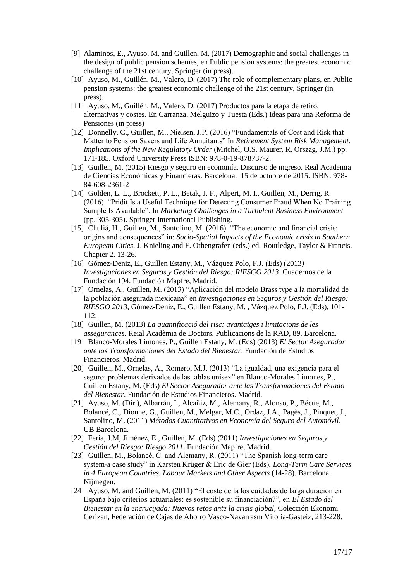- [9] Alaminos, E., Ayuso, M. and Guillen, M. (2017) Demographic and social challenges in the design of public pension schemes, en Public pension systems: the greatest economic challenge of the 21st century, Springer (in press).
- [10] Ayuso, M., Guillén, M., Valero, D. (2017) The role of complementary plans, en Public pension systems: the greatest economic challenge of the 21st century, Springer (in press).
- [11] Ayuso, M., Guillén, M., Valero, D. (2017) Productos para la etapa de retiro, alternativas y costes. En Carranza, Melguizo y Tuesta (Eds.) Ideas para una Reforma de Pensiones (in press)
- [12] Donnelly, C., Guillen, M., Nielsen, J.P. (2016) "Fundamentals of Cost and Risk that Matter to Pension Savers and Life Annuitants" In *Retirement System Risk Management. Implications of the New Regulatory Order* (Mitchel, O.S, Maurer, R, Orszag, J.M.) pp. 171-185. Oxford University Press ISBN: 978-0-19-878737-2.
- [13] Guillen, M. (2015) Riesgo y seguro en economía. Discurso de ingreso. Real Academia de Ciencias Económicas y Financieras. Barcelona. 15 de octubre de 2015. ISBN: 978- 84-608-2361-2
- [14] Golden, L. L., Brockett, P. L., Betak, J. F., Alpert, M. I., Guillen, M., Derrig, R. (2016). "Pridit Is a Useful Technique for Detecting Consumer Fraud When No Training Sample Is Available". In *Marketing Challenges in a Turbulent Business Environment* (pp. 305-305). Springer International Publishing.
- [15] Chuliá, H., Guillen, M., Santolino, M. (2016). "The economic and financial crisis: origins and consequences" in: *Socio-Spatial Impacts of the Economic crisis in Southern European Cities*, J. Knieling and F. Othengrafen (eds.) ed. Routledge, Taylor & Francis. Chapter 2. 13-26.
- [16] Gómez-Deniz, E., Guillen Estany, M., Vázquez Polo, F.J. (Eds) (2013*) Investigaciones en Seguros y Gestión del Riesgo: RIESGO 2013*. Cuadernos de la Fundación 194. Fundación Mapfre, Madrid.
- [17] Ornelas, A., Guillen, M. (2013) "Aplicación del modelo Brass type a la mortalidad de la población asegurada mexicana" en *Investigaciones en Seguros y Gestión del Riesgo: RIESGO 2013*, Gómez-Deniz, E., Guillen Estany, M. , Vázquez Polo, F.J. (Eds), 101- 112.
- [18] Guillen, M. (2013) *La quantificació del risc: avantatges i limitacions de les assegurances*. Reial Acadèmia de Doctors. Publicacions de la RAD, 89. Barcelona.
- [19] Blanco-Morales Limones, P., Guillen Estany, M. (Eds) (2013) *El Sector Asegurador ante las Transformaciones del Estado del Bienestar*. Fundación de Estudios Financieros. Madrid.
- [20] Guillen, M., Ornelas, A., Romero, M.J. (2013) "La igualdad, una exigencia para el seguro: problemas derivados de las tablas unisex" en Blanco-Morales Limones, P., Guillen Estany, M. (Eds) *El Sector Asegurador ante las Transformaciones del Estado del Bienestar*. Fundación de Estudios Financieros. Madrid.
- [21] Ayuso, M. (Dir.), Albarrán, I., Alcañiz, M., Alemany, R., Alonso, P., Bécue, M., Bolancé, C., Dionne, G., Guillen, M., Melgar, M.C., Ordaz, J.A., Pagès, J., Pinquet, J., Santolino, M. (2011) *Métodos Cuantitativos en Economía del Seguro del Automóvil*. UB Barcelona.
- [22] Feria, J.M, Jiménez, E., Guillen, M. (Eds) (2011) *Investigaciones en Seguros y Gestión del Riesgo: Riesgo 2011*. Fundación Mapfre, Madrid.
- [23] Guillen, M., Bolancé, C. and Alemany, R. (2011) "The Spanish long-term care system-a case study" in Karsten Krüger & Eric de Gier (Eds), *Long-Term Care Services in 4 European Countries. Labour Markets and Other Aspects* (14-28). Barcelona, Nijmegen.
- [24] Ayuso, M. and Guillen, M. (2011) "El coste de la los cuidados de larga duración en España bajo criterios actuariales: es sostenible su financiación?", en *El Estado del Bienestar en la encrucijada: Nuevos retos ante la crisis global*, Colección Ekonomi Gerizan, Federación de Cajas de Ahorro Vasco-Navarrasm Vitoria-Gasteiz, 213-228.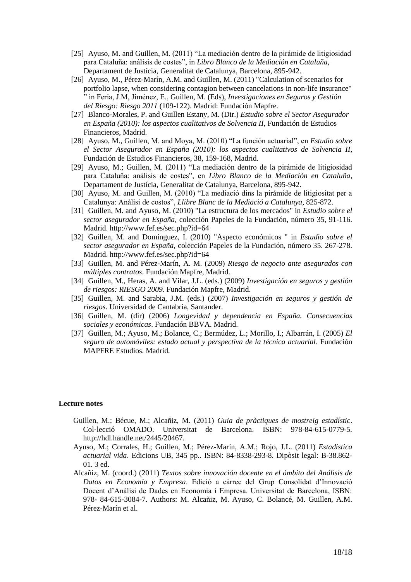- [25] Ayuso, M. and Guillen, M. (2011) "La mediación dentro de la pirámide de litigiosidad para Cataluña: análisis de costes", in *Libro Blanco de la Mediación en Cataluña*, Departament de Justícia, Generalitat de Catalunya, Barcelona, 895-942.
- [26] Ayuso, M., Pérez-Marín, A.M. and Guillen, M. (2011) "Calculation of scenarios for portfolio lapse, when considering contagion between cancelations in non-life insurance" " in Feria, J.M, Jiménez, E., Guillen, M. (Eds), *Investigaciones en Seguros y Gestión del Riesgo: Riesgo 2011* (109-122). Madrid: Fundación Mapfre.
- [27] Blanco-Morales, P. and Guillen Estany, M. (Dir.) *Estudio sobre el Sector Asegurador en España (2010): los aspectos cualitativos de Solvencia II*, Fundación de Estudios Financieros, Madrid.
- [28] Ayuso, M., Guillen, M. and Moya, M. (2010) "La función actuarial", en *Estudio sobre el Sector Asegurador en España (2010): los aspectos cualitativos de Solvencia II*, Fundación de Estudios Financieros, 38, 159-168, Madrid.
- [29] Ayuso, M.; Guillen, M. (2011) "La mediación dentro de la pirámide de litigiosidad para Cataluña: análisis de costes", en *Libro Blanco de la Mediación en Cataluña*, Departament de Justícia, Generalitat de Catalunya, Barcelona, 895-942.
- [30] Ayuso, M. and Guillen, M. (2010) "La mediació dins la pirámide de litigiositat per a Catalunya: Anàlisi de costos", *Llibre Blanc de la Mediació a Catalunya*, 825-872.
- [31] Guillen, M. and Ayuso, M. (2010) "La estructura de los mercados" in *Estudio sobre el sector asegurador en España,* colección Papeles de la Fundación, número 35, 91-116. Madrid. http://www.fef.es/sec.php?id=64
- [32] Guillen, M. and Domínguez, I. (2010) "Aspecto económicos " in *Estudio sobre el sector asegurador en España,* colección Papeles de la Fundación, número 35. 267-278. Madrid. http://www.fef.es/sec.php?id=64
- [33] Guillen, M. and Pérez-Marín, A. M. (2009) *Riesgo de negocio ante asegurados con múltiples contratos*. Fundación Mapfre, Madrid.
- [34] Guillen, M., Heras, A. and Vilar, J.L. (eds.) (2009) *Investigación en seguros y gestión de riesgos: RIESGO 2009*. Fundación Mapfre, Madrid.
- [35] Guillen, M. and Sarabia, J.M. (eds.) (2007) *Investigación en seguros y gestión de riesgos*. Universidad de Cantabria, Santander.
- [36] Guillen, M. (dir) (2006) *Longevidad y dependencia en España. Consecuencias sociales y económicas*. Fundación BBVA. Madrid.
- [37] Guillen, M.; Ayuso, M.; Bolance, C.; Bermúdez, L.; Morillo, I.; Albarrán, I. (2005) *El seguro de automóviles: estado actual y perspectiva de la técnica actuarial*. Fundación MAPFRE Estudios. Madrid.

### **Lecture notes**

- Guillen, M.; Bécue, M.; Alcañiz, M. (2011) *Guia de pràctiques de mostreig estadístic*. Col·lecció OMADO. Universitat de Barcelona. ISBN: 978-84-615-0779-5. http://hdl.handle.net/2445/20467.
- Ayuso, M.; Corrales, H.; Guillen, M.; Pérez-Marín, A.M.; Rojo, J.L. (2011) *Estadística actuarial vida*. Edicions UB, 345 pp.. ISBN: 84-8338-293-8. Dipòsit legal: B-38.862- 01. 3 ed.
- Alcañiz, M. (coord.) (2011) *Textos sobre innovación docente en el ámbito del Análisis de Datos en Economía y Empresa*. Edició a càrrec del Grup Consolidat d'Innovació Docent d'Anàlisi de Dades en Economia i Empresa. Universitat de Barcelona, ISBN: 978- 84-615-3084-7. Authors: M. Alcañiz, M. Ayuso, C. Bolancé, M. Guillen, A.M. Pérez-Marín et al.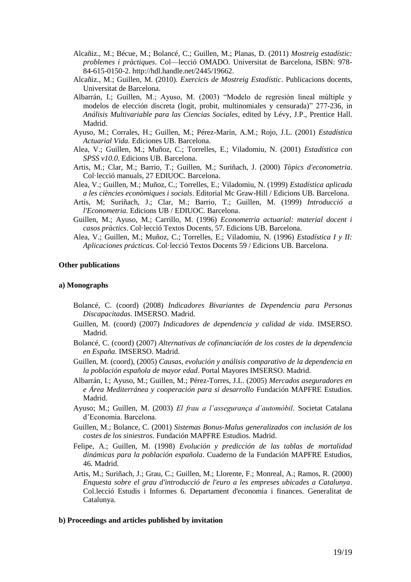- Alcañiz., M.; Bécue, M.; Bolancé, C.; Guillen, M.; Planas, D. (2011) *Mostreig estadístic: problemes i pràctiques*. Col—lecció OMADO. Universitat de Barcelona, ISBN: 978- 84-615-0150-2. http://hdl.handle.net/2445/19662.
- Alcañiz., M.; Guillen, M. (2010). *Exercicis de Mostreig Estadístic*. Publicacions docents, Universitat de Barcelona.
- Albarrán, I.; Guillen, M.; Ayuso, M. (2003) "Modelo de regresión lineal múltiple y modelos de elección discreta (logit, probit, multinomiales y censurada)" 277-236, in *Análisis Multivariable para las Ciencias Sociales*, edited by Lévy, J.P., Prentice Hall. Madrid.
- Ayuso, M.; Corrales, H.; Guillen, M.; Pérez-Marín, A.M.; Rojo, J.L. (2001) *Estadística Actuarial Vida.* Ediciones UB. Barcelona.
- Alea, V.; Guillen, M.; Muñoz, C.; Torrelles, E.; Viladomiu, N. (2001) *Estadística con SPSS v10.0*. Edicions UB. Barcelona.
- Artis, M.; Clar, M.; Barrio, T.; Guillen, M.; Suriñach, J. (2000) *Tòpics d'econometria*. Col·lecció manuals, 27 EDIUOC. Barcelona.
- Alea, V.; Guillen, M.; Muñoz, C.; Torrelles, E.; Viladomiu, N. (1999) *Estadística aplicada a les ciències econòmiques i socials*. Editorial Mc Graw-Hill / Edicions UB. Barcelona.
- Artís, M; Suriñach, J.; Clar, M.; Barrio, T.; Guillen, M. (1999) *Introducció a l'Econometria.* Edicions UB / EDIUOC. Barcelona.
- Guillen, M.; Ayuso, M.; Carrillo, M. (1996) *Econometria actuarial: material docent i casos pràctics*. Col·lecció Textos Docents, 57. Edicions UB. Barcelona.
- Alea, V.; Guillen, M.; Muñoz, C.; Torrelles, E.; Viladomiu, N. (1996) *Estadística I y II: Aplicaciones prácticas*. Col·lecció Textos Docents 59 / Edicions UB. Barcelona.

### **Other publications**

#### **a) Monographs**

- Bolancé, C. (coord) (2008) *Indicadores Bivariantes de Dependencia para Personas Discapacitadas.* IMSERSO. Madrid.
- Guillen, M. (coord) (2007) *Indicadores de dependencia y calidad de vida*. IMSERSO. Madrid.
- Bolancé, C. (coord) (2007) *Alternativas de cofinanciación de los costes de la dependencia en España.* IMSERSO. Madrid.
- Guillen, M. (coord), (2005) *Causas, evolución y análisis comparativo de la dependencia en la población española de mayor edad*. Portal Mayores IMSERSO. Madrid.
- Albarrán, I.; Ayuso, M.; Guillen, M.; Pérez-Torres, J.L. (2005) *Mercados aseguradores en e Área Mediterránea y cooperación para si desarrollo* Fundación MAPFRE Estudios. Madrid.
- Ayuso; M.; Guillen, M. (2003) *El frau a l'assegurança d'automòbil*. Societat Catalana d'Economia. Barcelona.
- Guillen, M.; Bolance, C. (2001) *Sistemas Bonus-Malus generalizados con inclusión de los costes de los siniestros.* Fundación MAPFRE Estudios. Madrid.
- Felipe, A.; Guillen, M. (1998) *Evolución y predicción de las tablas de mortalidad dinámicas para la población española*. Cuaderno de la Fundación MAPFRE Estudios, 46. Madrid.
- Artis, M.; Suriñach, J.; Grau, C.; Guillen, M.; Llorente, F.; Monreal, A.; Ramos, R. (2000) *Enquesta sobre el grau d'introducció de l'euro a les empreses ubicades a Catalunya*. Col.lecció Estudis i Informes 6. Departament d'economia i finances. Generalitat de Catalunya.

#### **b) Proceedings and articles published by invitation**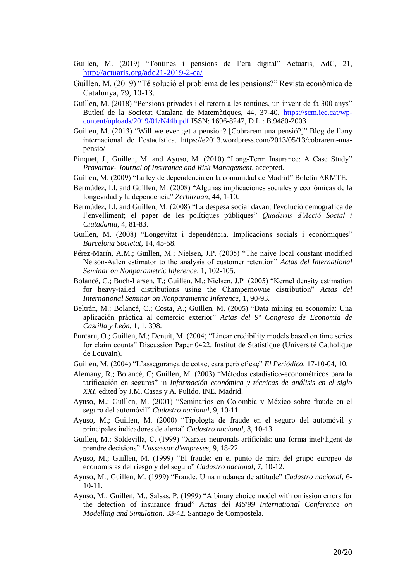- Guillen, M. (2019) "Tontines i pensions de l'era digital" Actuaris, AdC, 21, <http://actuaris.org/adc21-2019-2-ca/>
- Guillen, M. (2019) "Té solució el problema de les pensions?" Revista econòmica de Catalunya, 79, 10-13.
- Guillen, M. (2018) "Pensions privades i el retorn a les tontines, un invent de fa 300 anys" Butletí de la Societat Catalana de Matemàtiques, 44, 37-40. [https://scm.iec.cat/wp](https://scm.iec.cat/wp-content/uploads/2019/01/N44b.pdf)[content/uploads/2019/01/N44b.pdf](https://scm.iec.cat/wp-content/uploads/2019/01/N44b.pdf) ISSN: 1696-8247, D.L.: B.9480-2003
- Guillen, M. (2013) "Will we ever get a pension? [Cobrarem una pensió?]" Blog de l'any internacional de l'estadística. https://e2013.wordpress.com/2013/05/13/cobrarem-unapensio/
- Pinquet, J., Guillen, M. and Ayuso, M. (2010) "Long-Term Insurance: A Case Study" *Pravartak- Journal of Insurance and Risk Management*, accepted.
- Guillen, M. (2009) "La ley de dependencia en la comunidad de Madrid" Boletín ARMTE.
- Bermúdez, Ll. and Guillen, M. (2008) "Algunas implicaciones sociales y económicas de la longevidad y la dependencia" *Zerbitzuan*, 44, 1-10.
- Bermúdez, Ll. and Guillen, M. (2008) "La despesa social davant l'evolució demogràfica de l'envelliment; el paper de les polítiques públiques" *Quaderns d'Acció Social i Ciutadania*, 4, 81-83.
- Guillen, M. (2008) "Longevitat i dependència. Implicacions socials i econòmiques" *Barcelona Societat*, 14, 45-58.
- Pérez-Marín, A.M.; Guillen, M.; Nielsen, J.P. (2005) "The naive local constant modified Nelson-Aalen estimator to the analysis of customer retention" *Actas del International Seminar on Nonparametric Inference*, 1, 102-105.
- Bolancé, C.; Buch-Larsen, T.; Guillen, M.; Nielsen, J.P (2005) "Kernel density estimation for heavy-tailed distributions using the Champernowne distribution" *Actas del International Seminar on Nonparametric Inference*, 1, 90-93.
- Beltrán, M.; Bolancé, C.; Costa, A.; Guillen, M. (2005) "Data mining en economía: Una aplicación práctica al comercio exterior" *Actas del 9º Congreso de Economía de Castilla y León*, 1, 1, 398.
- Purcaru, O.; Guillen, M.; Denuit, M. (2004) "Linear credibility models based on time series for claim counts" Discussion Paper 0422. Institut de Statistique (Université Catholique de Louvain).
- Guillen, M. (2004) "L'assegurança de cotxe, cara però eficaç" *El Periódico*, 17-10-04, 10.
- Alemany, R.; Bolancé, C; Guillen, M. (2003) "Métodos estadístico-econométricos para la tarificación en seguros" in *Información económica y técnicas de análisis en el siglo XXI*, edited by J.M. Casas y A. Pulido. INE. Madrid.
- Ayuso, M.; Guillen, M. (2001) "Seminarios en Colombia y México sobre fraude en el seguro del automóvil" *Cadastro nacional*, 9, 10-11.
- Ayuso, M.; Guillen, M. (2000) "Tipología de fraude en el seguro del automóvil y principales indicadores de alerta" *Cadastro nacional*, 8, 10-13.
- Guillen, M.; Soldevilla, C. (1999) "Xarxes neuronals artificials: una forma intel·ligent de prendre decisions" *L'assessor d'empreses*, 9, 18-22.
- Ayuso, M.; Guillen, M. (1999) "El fraude: en el punto de mira del grupo europeo de economistas del riesgo y del seguro" *Cadastro nacional*, 7, 10-12.
- Ayuso, M.; Guillen, M. (1999) "Fraude: Uma mudança de attitude" *Cadastro nacional*, 6- 10-11.
- Ayuso, M.; Guillen, M.; Salsas, P. (1999) "A binary choice model with omission errors for the detection of insurance fraud" *Actas del MS'99 International Conference on Modelling and Simulation*, 33-42. Santiago de Compostela.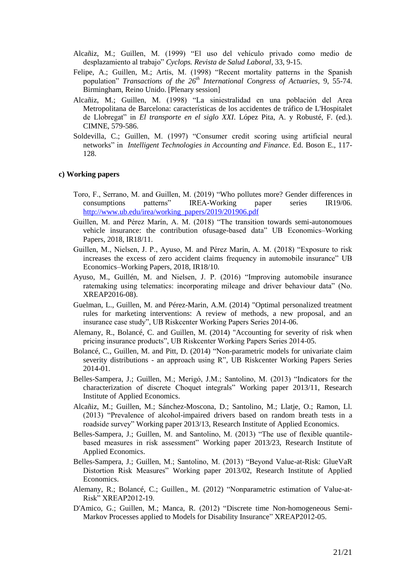- Alcañiz, M.; Guillen, M. (1999) "El uso del vehículo privado como medio de desplazamiento al trabajo" *Cyclops. Revista de Salud Laboral*, 33, 9-15.
- Felipe, A.; Guillen, M.; Artís, M. (1998) "Recent mortality patterns in the Spanish population" *Transactions of the 26th International Congress of Actuaries*, 9, 55-74. Birmingham, Reino Unido. [Plenary session]
- Alcañiz, M.; Guillen, M. (1998) "La siniestralidad en una población del Area Metropolitana de Barcelona: características de los accidentes de tráfico de L'Hospitalet de Llobregat" in *El transporte en el siglo XXI*. López Pita, A. y Robusté, F. (ed.). CIMNE, 579-586.
- Soldevilla, C.; Guillen, M. (1997) "Consumer credit scoring using artificial neural networks" in *Intelligent Technologies in Accounting and Finance*. Ed. Boson E., 117- 128.

#### **c) Working papers**

- Toro, F., Serrano, M. and Guillen, M. (2019) "Who pollutes more? Gender differences in consumptions patterns" IREA-Working paper series IR19/06. [http://www.ub.edu/irea/working\\_papers/2019/201906.pdf](http://www.ub.edu/irea/working_papers/2019/201906.pdf)
- Guillen, M. and Pérez Marín, A. M. (2018) "The transition towards semi-autonomoues vehicle insurance: the contribution ofusage-based data" UB Economics–Working Papers, 2018, IR18/11.
- Guillen, M., Nielsen, J. P., Ayuso, M. and Pérez Marín, A. M. (2018) "Exposure to risk increases the excess of zero accident claims frequency in automobile insurance" UB Economics–Working Papers, 2018, IR18/10.
- Ayuso, M., Guillén, M. and Nielsen, J. P. (2016) "Improving automobile insurance ratemaking using telematics: incorporating mileage and driver behaviour data" (No. XREAP2016-08).
- Guelman, L., Guillen, M. and Pérez-Marin, A.M. (2014) "Optimal personalized treatment rules for marketing interventions: A review of methods, a new proposal, and an insurance case study", UB Riskcenter Working Papers Series 2014-06.
- Alemany, R., Bolancé, C. and Guillen, M. (2014) "Accounting for severity of risk when pricing insurance products", UB Riskcenter Working Papers Series 2014-05.
- Bolancé, C., Guillen, M. and Pitt, D. (2014) ["Non-parametric models for univariate claim](http://www.ub.edu/riskcenter/research/BGP_march2014.pdf)  severity distributions - [an approach using R",](http://www.ub.edu/riskcenter/research/BGP_march2014.pdf) UB Riskcenter Working Papers Series 2014-01.
- Belles-Sampera, J.; Guillen, M.; Merigó, J.M.; Santolino, M. (2013) "Indicators for the characterization of discrete Choquet integrals" Working paper 2013/11, Research Institute of Applied Economics.
- Alcañiz, M.; Guillen, M.; Sánchez-Moscona, D.; Santolino, M.; Llatje, O.; Ramon, Ll. (2013) "Prevalence of alcohol-impaired drivers based on random breath tests in a roadside survey" Working paper 2013/13, Research Institute of Applied Economics.
- Belles-Sampera, J.; Guillen, M. and Santolino, M. (2013) "The use of flexible quantilebased measures in risk assessment" Working paper 2013/23, Research Institute of Applied Economics.
- Belles-Sampera, J.; Guillen, M.; Santolino, M. (2013) "Beyond Value-at-Risk: GlueVaR Distortion Risk Measures" Working paper 2013/02, Research Institute of Applied Economics.
- Alemany, R.; Bolancé, C.; Guillen., M. (2012) "Nonparametric estimation of Value-at-Risk" XREAP2012-19.
- D'Amico, G.; Guillen, M.; Manca, R. (2012) "Discrete time Non-homogeneous Semi-Markov Processes applied to Models for Disability Insurance" XREAP2012-05.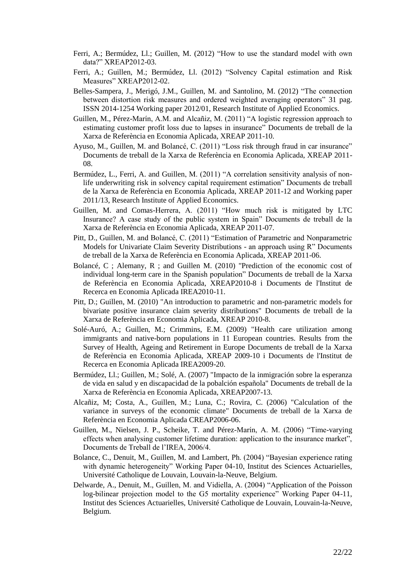- Ferri, A.; Bermúdez, Ll.; Guillen, M. (2012) "How to use the standard model with own data?" XREAP2012-03.
- Ferri, A.; Guillen, M.; Bermúdez, Ll. (2012) "Solvency Capital estimation and Risk Measures" XREAP2012-02.
- Belles-Sampera, J., Merigó, J.M., Guillen, M. and Santolino, M. (2012) "The connection between distortion risk measures and ordered weighted averaging operators" 31 pag. ISSN 2014-1254 Working paper 2012/01, Research Institute of Applied Economics.
- Guillen, M., Pérez-Marín, A.M. and Alcañiz, M. (2011) "A logistic regression approach to estimating customer profit loss due to lapses in insurance" Documents de treball de la Xarxa de Referència en Economia Aplicada, XREAP 2011-10.
- Ayuso, M., Guillen, M. and Bolancé, C. (2011) "Loss risk through fraud in car insurance" Documents de treball de la Xarxa de Referència en Economia Aplicada, XREAP 2011- 08.
- Bermúdez, L., Ferri, A. and Guillen, M. (2011) "A correlation sensitivity analysis of nonlife underwriting risk in solvency capital requirement estimation" Documents de treball de la Xarxa de Referència en Economia Aplicada, XREAP 2011-12 and Working paper 2011/13, Research Institute of Applied Economics.
- Guillen, M. and Comas-Herrera, A. (2011) "How much risk is mitigated by LTC Insurance? A case study of the public system in Spain" Documents de treball de la Xarxa de Referència en Economia Aplicada, XREAP 2011-07.
- Pitt, D., Guillen, M. and Bolancé, C. (2011) "Estimation of Parametric and Nonparametric Models for Univariate Claim Severity Distributions - an approach using R" Documents de treball de la Xarxa de Referència en Economia Aplicada, XREAP 2011-06.
- Bolancé, C ; Alemany, R ; and Guillen M. (2010) "Prediction of the economic cost of individual long-term care in the Spanish population" Documents de treball de la Xarxa de Referència en Economia Aplicada, XREAP2010-8 i Documents de l'Institut de Recerca en Economia Aplicada IREA2010-11.
- Pitt, D.; Guillen, M. (2010) "An introduction to parametric and non-parametric models for bivariate positive insurance claim severity distributions" Documents de treball de la Xarxa de Referència en Economia Aplicada, XREAP 2010-8.
- Solé-Auró, A.; Guillen, M.; Crimmins, E.M. (2009) "Health care utilization among immigrants and native-born populations in 11 European countries. Results from the Survey of Health, Ageing and Retirement in Europe Documents de treball de la Xarxa de Referència en Economia Aplicada, XREAP 2009-10 i Documents de l'Institut de Recerca en Economia Aplicada IREA2009-20.
- Bermúdez, Ll.; Guillen, M.; Solé, A. (2007) "Impacto de la inmigración sobre la esperanza de vida en salud y en discapacidad de la pobalción española" Documents de treball de la Xarxa de Referència en Economia Aplicada, XREAP2007-13.
- Alcañiz, M; Costa, A., Guillen, M.; Luna, C.; Rovira, C. (2006) "Calculation of the variance in surveys of the economic climate" Documents de treball de la Xarxa de Referència en Economia Aplicada CREAP2006-06.
- Guillen, M., Nielsen, J. P., Scheike, T. and Pérez-Marín, A. M. (2006) "Time-varying effects when analysing customer lifetime duration: application to the insurance market", Documents de Treball de l'IREA, 2006/4.
- Bolance, C., Denuit, M., Guillen, M. and Lambert, Ph. (2004) "Bayesian experience rating with dynamic heterogeneity" Working Paper 04-10, Institut des Sciences Actuarielles, Université Catholique de Louvain, Louvain-la-Neuve, Belgium.
- Delwarde, A., Denuit, M., Guillen, M. and Vidiella, A. (2004) "Application of the Poisson log-bilinear projection model to the G5 mortality experience" Working Paper 04-11, Institut des Sciences Actuarielles, Université Catholique de Louvain, Louvain-la-Neuve, Belgium.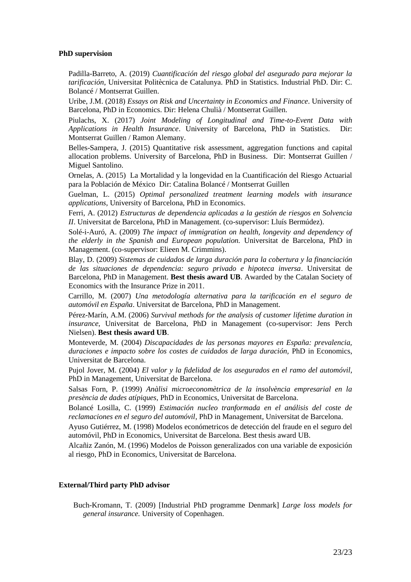### **PhD supervision**

Padilla-Barreto, A. (2019) *Cuantificación del riesgo global del asegurado para mejorar la tarificación*, Universitat Politècnica de Catalunya. PhD in Statistics. Industrial PhD. Dir: C. Bolancé / Montserrat Guillen.

Uribe, J.M. (2018) *Essays on Risk and Uncertainty in Economics and Finance*. University of Barcelona, PhD in Economics. Dir: Helena Chulià / Montserrat Guillen.

Piulachs, X. (2017) *Joint Modeling of Longitudinal and Time-to-Event Data with Applications in Health Insurance*. University of Barcelona, PhD in Statistics. Dir: Montserrat Guillen / Ramon Alemany.

Belles-Sampera, J. (2015) Quantitative risk assessment, aggregation functions and capital allocation problems. University of Barcelona, PhD in Business. Dir: Montserrat Guillen / Miguel Santolino.

Ornelas, A. (2015) La Mortalidad y la longevidad en la Cuantificación del Riesgo Actuarial para la Población de México Dir: Catalina Bolancé / Montserrat Guillen

Guelman, L. (2015) *Optimal personalized treatment learning models with insurance applications,* University of Barcelona, PhD in Economics.

Ferri, A. (2012) *Estructuras de dependencia aplicadas a la gestión de riesgos en Solvencia II*. Universitat de Barcelona, PhD in Management. (co-supervisor: Lluís Bermúdez).

Solé-i-Auró, A. (2009) *The impact of immigration on health, longevity and dependency of the elderly in the Spanish and European population.* Universitat de Barcelona, PhD in Management. (co-supervisor: Elieen M. Crimmins).

Blay, D. (2009) *Sistemas de cuidados de larga duración para la cobertura y la financiación de las situaciones de dependencia: seguro privado e hipoteca inversa*. Universitat de Barcelona, PhD in Management. **Best thesis award UB**. Awarded by the Catalan Society of Economics with the Insurance Prize in 2011.

Carrillo, M. (2007) *Una metodología alternativa para la tarificación en el seguro de automóvil en España*. Universitat de Barcelona, PhD in Management.

Pérez-Marín, A.M. (2006) *Survival methods for the analysis of customer lifetime duration in insurance*, Universitat de Barcelona, PhD in Management (co-supervisor: Jens Perch Nielsen). **Best thesis award UB**.

Monteverde, M. (2004) *Discapacidades de las personas mayores en España: prevalencia, duraciones e impacto sobre los costes de cuidados de larga duración,* PhD in Economics, Universitat de Barcelona.

Pujol Jover, M. (2004) *El valor y la fidelidad de los asegurados en el ramo del automóvil*, PhD in Management, Universitat de Barcelona.

Salsas Forn, P. (1999) *Anàlisi microeconomètrica de la insolvència empresarial en la presència de dades atípiques*, PhD in Economics, Universitat de Barcelona.

Bolancé Losilla, C. (1999) *Estimación nucleo tranformada en el análisis del coste de reclamaciones en el seguro del automóvil*, PhD in Management, Universitat de Barcelona.

Ayuso Gutiérrez, M. (1998) Modelos económetricos de detección del fraude en el seguro del automóvil, PhD in Economics, Universitat de Barcelona. Best thesis award UB.

Alcañiz Zanón, M. (1996) Modelos de Poisson generalizados con una variable de exposición al riesgo, PhD in Economics, Universitat de Barcelona.

### **External/Third party PhD advisor**

Buch-Kromann, T. (2009) [Industrial PhD programme Denmark] *Large loss models for general insurance.* University of Copenhagen.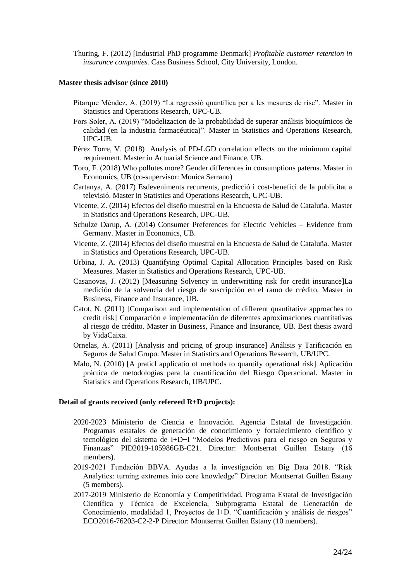Thuring, F. (2012) [Industrial PhD programme Denmark] *Profitable customer retention in insurance companies.* Cass Business School, City University, London.

### **Master thesis advisor (since 2010)**

- Pitarque Méndez, A. (2019) "La regressió quantílica per a les mesures de risc". Master in Statistics and Operations Research, UPC-UB.
- Fors Soler, A. (2019) "Modelizacion de la probabilidad de superar análisis bioquímicos de calidad (en la industria farmacéutica)". Master in Statistics and Operations Research, UPC-UB.
- Pérez Torre, V. (2018) Analysis of PD-LGD correlation effects on the minimum capital requirement. Master in Actuarial Science and Finance, UB.
- Toro, F. (2018) Who pollutes more? Gender differences in consumptions paterns. Master in Economics, UB (co-supervisor: Monica Serrano)
- Cartanya, A. (2017) Esdeveniments recurrents, predicció i cost-benefici de la publicitat a televisió. Master in Statistics and Operations Research, UPC-UB.
- Vicente, Z. (2014) Efectos del diseño muestral en la Encuesta de Salud de Cataluña. Master in Statistics and Operations Research, UPC-UB.
- Schulze Darup, A. (2014) Consumer Preferences for Electric Vehicles Evidence from Germany. Master in Economics, UB.
- Vicente, Z. (2014) Efectos del diseño muestral en la Encuesta de Salud de Cataluña. Master in Statistics and Operations Research, UPC-UB.
- Urbina, J. A. (2013) Quantifying Optimal Capital Allocation Principles based on Risk Measures. Master in Statistics and Operations Research, UPC-UB.
- Casanovas, J. (2012) [Measuring Solvency in underwritting risk for credit insurance]La medición de la solvencia del riesgo de suscripción en el ramo de crédito. Master in Business, Finance and Insurance, UB.
- Catot, N. (2011) [Comparison and implementation of different quantitative approaches to credit risk] Comparación e implementación de diferentes aproximaciones cuantitativas al riesgo de crédito. Master in Business, Finance and Insurance, UB. Best thesis award by VidaCaixa.
- Ornelas, A. (2011) [Analysis and pricing of group insurance] Análisis y Tarificación en Seguros de Salud Grupo. Master in Statistics and Operations Research, UB/UPC.
- Malo, N. (2010) [A praticl applicatio of methods to quantify operational risk] Aplicación práctica de metodologías para la cuantificación del Riesgo Operacional. Master in Statistics and Operations Research, UB/UPC.

#### **Detail of grants received (only refereed R+D projects):**

- 2020-2023 Ministerio de Ciencia e Innovación. Agencia Estatal de Investigación. Programas estatales de generación de conocimiento y fortalecimiento científico y tecnológico del sistema de I+D+I "Modelos Predictivos para el riesgo en Seguros y Finanzas" PID2019-105986GB-C21. Director: Montserrat Guillen Estany (16 members).
- 2019-2021 Fundación BBVA. Ayudas a la investigación en Big Data 2018. "Risk Analytics: turning extremes into core knowledge" Director: Montserrat Guillen Estany (5 members).
- 2017-2019 Ministerio de Economía y Competitividad. Programa Estatal de Investigación Científica y Técnica de Excelencia, Subprograma Estatal de Generación de Conocimiento, modalidad 1, Proyectos de I+D. "Cuantificación y análisis de riesgos" ECO2016-76203-C2-2-P Director: Montserrat Guillen Estany (10 members).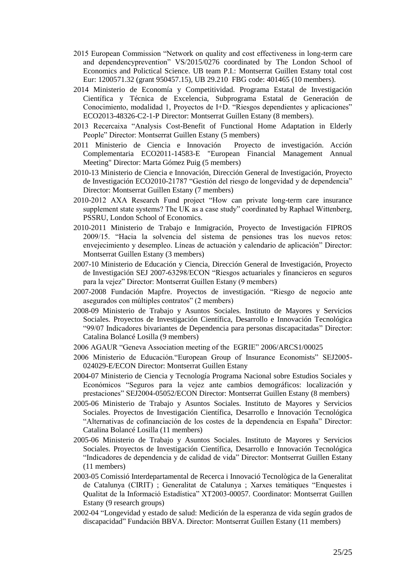- 2015 European Commission "Network on quality and cost effectiveness in long-term care and dependencyprevention" VS/2015/0276 coordinated by The London School of Economics and Polictical Science. UB team P.I.: Montserrat Guillen Estany total cost Eur: 1200571.32 (grant 950457.15), UB 29.210 FBG code: 401465 (10 members).
- 2014 Ministerio de Economía y Competitividad. Programa Estatal de Investigación Científica y Técnica de Excelencia, Subprograma Estatal de Generación de Conocimiento, modalidad 1, Proyectos de I+D. "Riesgos dependientes y aplicaciones" ECO2013-48326-C2-1-P Director: Montserrat Guillen Estany (8 members).
- 2013 Recercaixa "Analysis Cost-Benefit of Functional Home Adaptation in Elderly People" Director: Montserrat Guillen Estany (5 members)
- 2011 Ministerio de Ciencia e Innovación Proyecto de investigación. Acción Complementaria ECO2011-14583-E "European Financial Management Annual Meeting" Director: Marta Gómez Puig (5 members)
- 2010-13 Ministerio de Ciencia e Innovación, Dirección General de Investigación, Proyecto de Investigación ECO2010-21787 "Gestión del riesgo de longevidad y de dependencia" Director: Montserrat Guillen Estany (7 members)
- 2010-2012 AXA Research Fund project "How can private long-term care insurance supplement state systems? The UK as a case study" coordinated by Raphael Wittenberg, PSSRU, London School of Economics.
- 2010-2011 Ministerio de Trabajo e Inmigración, Proyecto de Investigación FIPROS 2009/15. "Hacia la solvencia del sistema de pensiones tras los nuevos retos: envejecimiento y desempleo. Líneas de actuación y calendario de aplicación" Director: Montserrat Guillen Estany (3 members)
- 2007-10 Ministerio de Educación y Ciencia, Dirección General de Investigación, Proyecto de Investigación SEJ 2007-63298/ECON "Riesgos actuariales y financieros en seguros para la vejez" Director: Montserrat Guillen Estany (9 members)
- 2007-2008 Fundación Mapfre. Proyectos de investigación. "Riesgo de negocio ante asegurados con múltiples contratos" (2 members)
- 2008-09 Ministerio de Trabajo y Asuntos Sociales. Instituto de Mayores y Servicios Sociales. Proyectos de Investigación Científica, Desarrollo e Innovación Tecnológica "99/07 Indicadores bivariantes de Dependencia para personas discapacitadas" Director: Catalina Bolancé Losilla (9 members)
- 2006 AGAUR "Geneva Association meeting of the EGRIE" 2006/ARCS1/00025
- 2006 Ministerio de Educación."European Group of Insurance Economists" SEJ2005- 024029-E/ECON Director: Montserrat Guillen Estany
- 2004-07 Ministerio de Ciencia y Tecnología Programa Nacional sobre Estudios Sociales y Económicos "Seguros para la vejez ante cambios demográficos: localización y prestaciones" SEJ2004-05052/ECON Director: Montserrat Guillen Estany (8 members)
- 2005-06 Ministerio de Trabajo y Asuntos Sociales. Instituto de Mayores y Servicios Sociales. Proyectos de Investigación Científica, Desarrollo e Innovación Tecnológica "Alternativas de cofinanciación de los costes de la dependencia en España" Director: Catalina Bolancé Losilla (11 members)
- 2005-06 Ministerio de Trabajo y Asuntos Sociales. Instituto de Mayores y Servicios Sociales. Proyectos de Investigación Científica, Desarrollo e Innovación Tecnológica "Indicadores de dependencia y de calidad de vida" Director: Montserrat Guillen Estany (11 members)
- 2003-05 Comissió Interdepartamental de Recerca i Innovació Tecnològica de la Generalitat de Catalunya (CIRIT) ; Generalitat de Catalunya ; Xarxes temàtiques "Enquestes i Qualitat de la Informació Estadística" XT2003-00057. Coordinator: Montserrat Guillen Estany (9 research groups)
- 2002-04 "Longevidad y estado de salud: Medición de la esperanza de vida según grados de discapacidad" Fundación BBVA. Director: Montserrat Guillen Estany (11 members)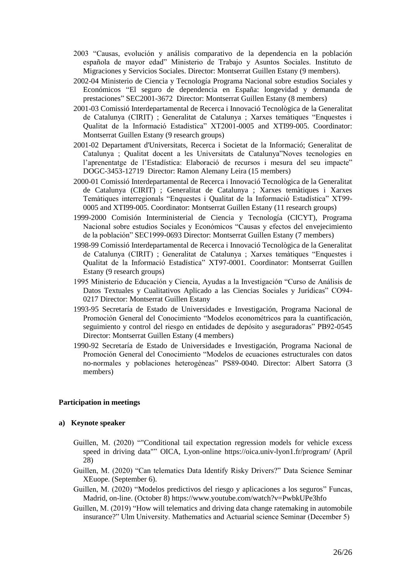- 2003 "Causas, evolución y análisis comparativo de la dependencia en la población española de mayor edad" Ministerio de Trabajo y Asuntos Sociales. Instituto de Migraciones y Servicios Sociales. Director: Montserrat Guillen Estany (9 members).
- 2002-04 Ministerio de Ciencia y Tecnología Programa Nacional sobre estudios Sociales y Económicos "El seguro de dependencia en España: longevidad y demanda de prestaciones" SEC2001-3672 Director: Montserrat Guillen Estany (8 members)
- 2001-03 Comissió Interdepartamental de Recerca i Innovació Tecnològica de la Generalitat de Catalunya (CIRIT) ; Generalitat de Catalunya ; Xarxes temàtiques "Enquestes i Qualitat de la Informació Estadística" XT2001-0005 and XTI99-005. Coordinator: Montserrat Guillen Estany (9 research groups)
- 2001-02 Departament d'Universitats, Recerca i Societat de la Informació; Generalitat de Catalunya ; Qualitat docent a les Universitats de Catalunya"Noves tecnologies en l'aprenentatge de l'Estadística: Elaboració de recursos i mesura del seu impacte" DOGC-3453-12719 Director: Ramon Alemany Leira (15 members)
- 2000-01 Comissió Interdepartamental de Recerca i Innovació Tecnològica de la Generalitat de Catalunya (CIRIT) ; Generalitat de Catalunya ; Xarxes temàtiques i Xarxes Temàtiques interregionals "Enquestes i Qualitat de la Informació Estadística" XT99- 0005 and XTI99-005. Coordinator: Montserrat Guillen Estany (11 research groups)
- 1999-2000 Comisión Interministerial de Ciencia y Tecnología (CICYT), Programa Nacional sobre estudios Sociales y Económicos "Causas y efectos del envejecimiento de la población" SEC1999-0693 Director: Montserrat Guillen Estany (7 members)
- 1998-99 Comissió Interdepartamental de Recerca i Innovació Tecnològica de la Generalitat de Catalunya (CIRIT) ; Generalitat de Catalunya ; Xarxes temàtiques "Enquestes i Qualitat de la Informació Estadística" XT97-0001. Coordinator: Montserrat Guillen Estany (9 research groups)
- 1995 Ministerio de Educación y Ciencia, Ayudas a la Investigación "Curso de Análisis de Datos Textuales y Cualitativos Aplicado a las Ciencias Sociales y Jurídicas" CO94- 0217 Director: Montserrat Guillen Estany
- 1993-95 Secretaría de Estado de Universidades e Investigación, Programa Nacional de Promoción General del Conocimiento "Modelos econométricos para la cuantificación, seguimiento y control del riesgo en entidades de depósito y aseguradoras" PB92-0545 Director: Montserrat Guillen Estany (4 members)
- 1990-92 Secretaría de Estado de Universidades e Investigación, Programa Nacional de Promoción General del Conocimiento "Modelos de ecuaciones estructurales con datos no-normales y poblaciones heterogéneas" PS89-0040. Director: Albert Satorra (3 members)

# **Participation in meetings**

### **a) Keynote speaker**

- Guillen, M. (2020) ""Conditional tail expectation regression models for vehicle excess speed in driving data"" OICA, Lyon-online [https://oica.univ-lyon1.fr/program/](https://oica.univ-lyon1.fr/mailster/1076/bc26f8accc5f319e1e3da977edc49085/aHR0cHM6Ly9vaWNhLnVuaXYtbHlvbjEuZnIvcHJvZ3JhbS8) (April 28)
- Guillen, M. (2020) "Can telematics Data Identify Risky Drivers?" Data Science Seminar XEuope. (September 6).
- Guillen, M. (2020) "Modelos predictivos del riesgo y aplicaciones a los seguros" Funcas, Madrid, on-line. (October 8) https://www.youtube.com/watch?v=PwbkUPe3hfo
- Guillen, M. (2019) "How will telematics and driving data change ratemaking in automobile insurance?" Ulm University. Mathematics and Actuarial science Seminar (December 5)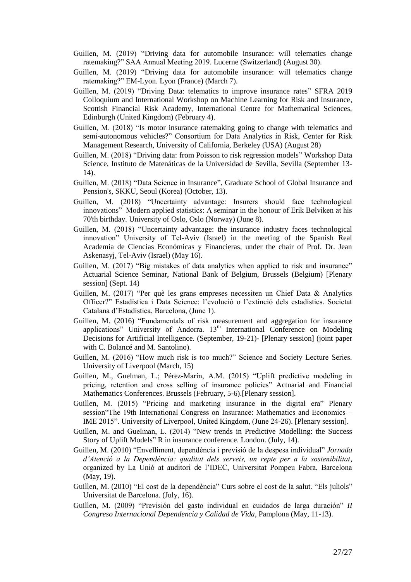- Guillen, M. (2019) "Driving data for automobile insurance: will telematics change ratemaking?" SAA Annual Meeting 2019. Lucerne (Switzerland) (August 30).
- Guillen, M. (2019) "Driving data for automobile insurance: will telematics change ratemaking?" EM-Lyon. Lyon (France) (March 7).
- Guillen, M. (2019) "Driving Data: telematics to improve insurance rates" SFRA 2019 Colloquium and International Workshop on Machine Learning for Risk and Insurance, Scottish Financial Risk Academy, International Centre for Mathematical Sciences, Edinburgh (United Kingdom) (February 4).
- Guillen, M. (2018) "Is motor insurance ratemaking going to change with telematics and semi-autonomous vehicles?" Consortium for Data Analytics in Risk, Center for Risk Management Research, University of California, Berkeley (USA) (August 28)
- Guillen, M. (2018) "Driving data: from Poisson to risk regression models" Workshop Data Science, Instituto de Matenáticas de la Universidad de Sevilla, Sevilla (September 13- 14).
- Guillen, M. (2018) "Data Science in Insurance", Graduate School of Global Insurance and Pension's, SKKU, Seoul (Korea) (October, 13).
- Guillen, M. (2018) "Uncertainty advantage: Insurers should face technological innovations" Modern applied statistics: A seminar in the honour of Erik Bølviken at his 70'th birthday. University of Oslo, Oslo (Norway) (June 8).
- Guillen, M. (2018) "Uncertainty advantage: the insurance industry faces technological innovation" University of Tel-Aviv (Israel) in the meeting of the Spanish Real Academia de Ciencias Económicas y Financieras, under the chair of Prof. Dr. Jean Askenasyj, Tel-Aviv (Israel) (May 16).
- Guillen, M. (2017) "Big mistakes of data analytics when applied to risk and insurance" Actuarial Science Seminar, National Bank of Belgium, Brussels (Belgium) [Plenary session] (Sept. 14)
- Guillen, M. (2017) "Per què les grans empreses necessiten un Chief Data & Analytics Officer?" Estadística i Data Science: l'evolució o l'extinció dels estadístics. Societat Catalana d'Estadística, Barcelona, (June 1).
- Guillen, M. (2016) "Fundamentals of risk measurement and aggregation for insurance applications" University of Andorra.  $13<sup>th</sup>$  International Conference on Modeling Decisions for Artificial Intelligence. (September, 19-21)- [Plenary session] (joint paper with C. Bolancé and M. Santolino).
- Guillen, M. (2016) "How much risk is too much?" Science and Society Lecture Series. University of Liverpool (March, 15)
- Guillen, M., Guelman, L.; Pérez-Marín, A.M. (2015) "Uplift predictive modeling in pricing, retention and cross selling of insurance policies" Actuarial and Financial Mathematics Conferences. Brussels (February, 5-6).[Plenary session].
- Guillen, M. (2015) "Pricing and marketing insurance in the digital era" Plenary session"The 19th International Congress on Insurance: Mathematics and Economics – IME 2015". University of Liverpool, United Kingdom, (June 24-26). [Plenary session].
- Guillen, M. and Guelman, L. (2014) "New trends in Predictive Modelling: the Success Story of Uplift Models" R in insurance conference. London. (July, 14).
- Guillen, M. (2010) "Envelliment, dependència i previsió de la despesa individual" *Jornada d'Atenció a la Dependència: qualitat dels serveis, un repte per a la sostenibilitat*, organized by La Unió at auditori de l'IDEC, Universitat Pompeu Fabra, Barcelona (May, 19).
- Guillen, M. (2010) "El cost de la dependència" Curs sobre el cost de la salut. "Els juliols" Universitat de Barcelona. (July, 16).
- Guillen, M. (2009) "Previsión del gasto individual en cuidados de larga duración" *II Congreso Internacional Dependencia y Calidad de Vida*, Pamplona (May, 11-13).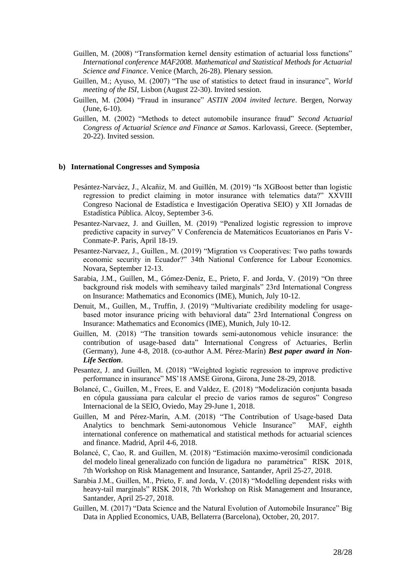- Guillen, M. (2008) "Transformation kernel density estimation of actuarial loss functions" *International conference MAF2008. Mathematical and Statistical Methods for Actuarial Science and Finance*. Venice (March, 26-28). Plenary session.
- Guillen, M.; Ayuso, M. (2007) "The use of statistics to detect fraud in insurance", *World meeting of the ISI*, Lisbon (August 22-30). Invited session.
- Guillen, M. (2004) "Fraud in insurance" *ASTIN 2004 invited lecture*. Bergen, Norway (June, 6-10).
- Guillen, M. (2002) "Methods to detect automobile insurance fraud" *Second Actuarial Congress of Actuarial Science and Finance at Samos*. Karlovassi, Greece. (September, 20-22). Invited session.

### **b) International Congresses and Symposia**

- Pesántez-Narváez, J., Alcañiz, M. and Guillén, M. (2019) "Is XGBoost better than logistic regression to predict claiming in motor insurance with telematics data?" XXVIII Congreso Nacional de Estadística e Investigación Operativa SEIO) y XII Jornadas de Estadística Pública. Alcoy, September 3-6.
- Pesantez-Narvaez, J. and Guillen, M. (2019) "Penalized logistic regression to improve predictive capacity in survey" V Conferencia de Matemáticos Ecuatorianos en Paris V-Conmate-P. Paris, April 18-19.
- Pesantez-Narvaez, J., Guillen., M. (2019) "Migration vs Cooperatives: Two paths towards economic security in Ecuador?" 34th National Conference for Labour Economics. Novara, September 12-13.
- Sarabia, J.M., Guillen, M., Gómez-Deniz, E., Prieto, F. and Jorda, V. (2019) "On three background risk models with semiheavy tailed marginals" 23rd International Congress on Insurance: Mathematics and Economics (IME), Munich, July 10-12.
- Denuit, M., Guillen, M., Truffin, J. (2019) "Multivariate credibility modeling for usagebased motor insurance pricing with behavioral data" 23rd International Congress on Insurance: Mathematics and Economics (IME), Munich, July 10-12.
- Guillen, M. (2018) "The transition towards semi-autonomous vehicle insurance: the contribution of usage-based data" International Congress of Actuaries, Berlin (Germany), June 4-8, 2018. (co-author A.M. Pérez-Marín) *Best paper award in Non-Life Section*.
- Pesantez, J. and Guillen, M. (2018) "Weighted logistic regression to improve predictive performance in insurance" MS'18 AMSE Girona, Girona, June 28-29, 2018.
- Bolancé, C., Guillen, M., Frees, E. and Valdez, E. (2018) "Modelización conjunta basada en cópula gaussiana para calcular el precio de varios ramos de seguros" Congreso Internacional de la SEIO, Oviedo, May 29-June 1, 2018.
- Guillen, M and Pérez-Marín, A.M. (2018) "The Contribution of Usage-based Data Analytics to benchmark Semi-autonomous Vehicle Insurance" MAF, eighth international conference on mathematical and statistical methods for actuarial sciences and finance. Madrid, April 4-6, 2018.
- Bolancé, C, Cao, R. and Guillen, M. (2018) "Estimación maximo-verosímil condicionada del modelo lineal generalizado con función de ligadura no paramétrica" RISK 2018, 7th Workshop on Risk Management and Insurance, Santander, April 25-27, 2018.
- Sarabia J.M., Guillen, M., Prieto, F. and Jorda, V. (2018) "Modelling dependent risks with heavy-tail marginals" RISK 2018, 7th Workshop on Risk Management and Insurance, Santander, April 25-27, 2018.
- Guillen, M. (2017) "Data Science and the Natural Evolution of Automobile Insurance" Big Data in Applied Economics, UAB, Bellaterra (Barcelona), October, 20, 2017.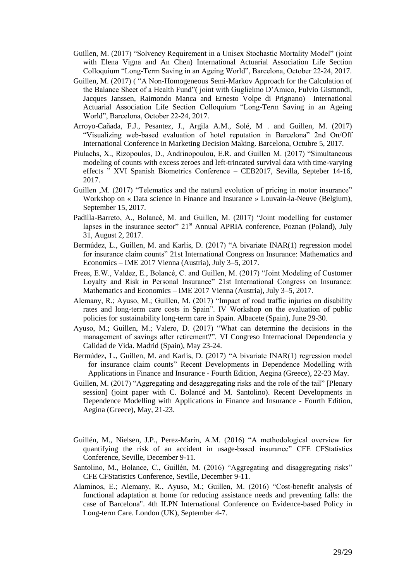- Guillen, M. (2017) "Solvency Requirement in a Unisex Stochastic Mortality Model" (joint with Elena Vigna and An Chen) International Actuarial Association Life Section Colloquium "Long-Term Saving in an Ageing World", Barcelona, October 22-24, 2017.
- Guillen, M. (2017) ( "A Non-Homogeneous Semi-Markov Approach for the Calculation of the Balance Sheet of a Health Fund"( joint with Guglielmo D'Amico, Fulvio Gismondi, Jacques Janssen, Raimondo Manca and Ernesto Volpe di Prignano) International Actuarial Association Life Section Colloquium "Long-Term Saving in an Ageing World", Barcelona, October 22-24, 2017.
- Arroyo-Cañada, F.J., Pesantez, J., Argila A.M., Solé, M . and Guillen, M. (2017) "Visualizing web-based evaluation of hotel reputation in Barcelona" 2nd On/Off International Conference in Marketing Decision Making. Barcelona, Octubre 5, 2017.
- Piulachs, X., Rizopoulos, D., Andrinopoulou, E.R. and Guillen M. (2017) "Simultaneous modeling of counts with excess zeroes and left-trincated survival data with time-varying effects " XVI Spanish Biometrics Conference – CEB2017, Sevilla, Septeber 14-16, 2017.
- Guillen , M. (2017) "Telematics and the natural evolution of pricing in motor insurance" Workshop on « Data science in Finance and Insurance » Louvain-la-Neuve (Belgium), September 15, 2017.
- Padilla-Barreto, A., Bolancé, M. and Guillen, M. (2017) "Joint modelling for customer lapses in the insurance sector"  $21<sup>st</sup>$  Annual APRIA conference, Poznan (Poland), July 31, August 2, 2017.
- Bermúdez, L., Guillen, M. and Karlis, D. (2017) "A bivariate INAR(1) regression model for insurance claim counts" 21st International Congress on Insurance: Mathematics and Economics – IME 2017 Vienna (Austria), July 3–5, 2017.
- Frees, E.W., Valdez, E., Bolancé, C. and Guillen, M. (2017) "Joint Modeling of Customer Loyalty and Risk in Personal Insurance" 21st International Congress on Insurance: Mathematics and Economics – IME 2017 Vienna (Austria), July 3–5, 2017.
- Alemany, R.; Ayuso, M.; Guillen, M. (2017) "Impact of road traffic injuries on disability rates and long-term care costs in Spain". IV Workshop on the evaluation of public policies for sustainability long-term care in Spain. Albacete (Spain), June 29-30.
- Ayuso, M.; Guillen, M.; Valero, D. (2017) "What can determine the decisions in the management of savings after retirement?". VI Congreso Internacional Dependencia y Calidad de Vida. Madrid (Spain), May 23-24.
- Bermúdez, L., Guillen, M. and Karlis, D. (2017) "A bivariate INAR(1) regression model for insurance claim counts" Recent Developments in Dependence Modelling with Applications in Finance and Insurance - Fourth Edition, Aegina (Greece), 22-23 May.
- Guillen, M. (2017) "Aggregating and desaggregating risks and the role of the tail" [Plenary session] (joint paper with C. Bolancé and M. Santolino). Recent Developments in Dependence Modelling with Applications in Finance and Insurance - Fourth Edition, Aegina (Greece), May, 21-23.
- Guillén, M., Nielsen, J.P., Perez-Marin, A.M. (2016) "A methodological overview for quantifying the risk of an accident in usage-based insurance" CFE CFStatistics Conference, Seville, December 9-11.
- Santolino, M., Bolance, C., Guillén, M. (2016) "Aggregating and disaggregating risks" CFE CFStatistics Conference, Seville, December 9-11.
- Alaminos, E.; Alemany, R., Ayuso, M.; Guillen, M. (2016) "Cost-benefit analysis of functional adaptation at home for reducing assistance needs and preventing falls: the case of Barcelona". 4th ILPN International Conference on Evidence-based Policy in Long-term Care. London (UK), September 4-7.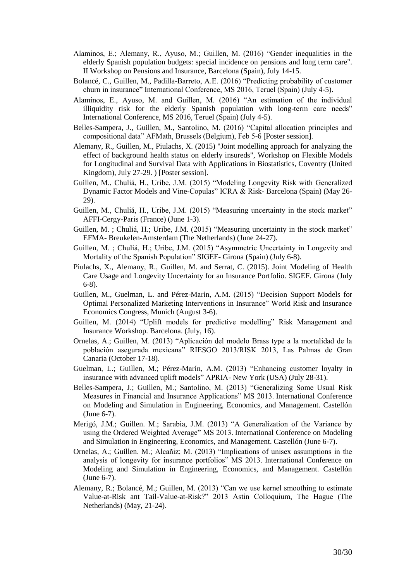- Alaminos, E.; Alemany, R., Ayuso, M.; Guillen, M. (2016) "Gender inequalities in the elderly Spanish population budgets: special incidence on pensions and long term care". II Workshop on Pensions and Insurance, Barcelona (Spain), July 14-15.
- Bolancé, C., Guillen, M., Padilla-Barreto, A.E. (2016) "Predicting probability of customer churn in insurance" International Conference, MS 2016, Teruel (Spain) (July 4-5).
- Alaminos, E., Ayuso, M. and Guillen, M. (2016) "An estimation of the individual illiquidity risk for the elderly Spanish population with long-term care needs" International Conference, MS 2016, Teruel (Spain) (July 4-5).
- Belles-Sampera, J., Guillen, M., Santolino, M. (2016) "Capital allocation principles and compositional data" AFMath, Brussels (Belgium), Feb 5-6 [Poster session].
- Alemany, R., Guillen, M., Piulachs, X. (2015) "Joint modelling approach for analyzing the effect of background health status on elderly insureds", Workshop on Flexible Models for Longitudinal and Survival Data with Applications in Biostatistics, Coventry (United Kingdom), July 27-29. ) [Poster session].
- Guillen, M., Chuliá, H., Uribe, J.M. (2015) "Modeling Longevity Risk with Generalized Dynamic Factor Models and Vine-Copulas" ICRA & Risk- Barcelona (Spain) (May 26- 29).
- Guillen, M., Chuliá, H., Uribe, J.M. (2015) "Measuring uncertainty in the stock market" AFFI-Cergy-Paris (France) (June 1-3).
- Guillen, M. ; Chuliá, H.; Uribe, J.M. (2015) "Measuring uncertainty in the stock market" EFMA- Breukelen-Amsterdam (The Netherlands) (June 24-27).
- Guillen, M. ; Chuliá, H.; Uribe, J.M. (2015) "Asymmetric Uncertainty in Longevity and Mortality of the Spanish Population" SIGEF- Girona (Spain) (July 6-8).
- Piulachs, X., Alemany, R., Guillen, M. and Serrat, C. (2015). Joint Modeling of Health Care Usage and Longevity Uncertainty for an Insurance Portfolio. SIGEF. Girona (July 6-8).
- Guillen, M., Guelman, L. and Pérez-Marín, A.M. (2015) "Decision Support Models for Optimal Personalized Marketing Interventions in Insurance" World Risk and Insurance Economics Congress, Munich (August 3-6).
- Guillen, M. (2014) "Uplift models for predictive modelling" Risk Management and Insurance Workshop. Barcelona. (July, 16).
- Ornelas, A.; Guillen, M. (2013) "Aplicación del modelo Brass type a la mortalidad de la población asegurada mexicana" RIESGO 2013/RISK 2013, Las Palmas de Gran Canaria (October 17-18).
- Guelman, L.; Guillen, M.; Pérez-Marín, A.M. (2013) "Enhancing customer loyalty in insurance with advanced uplift models" APRIA- New York (USA) (July 28-31).
- Belles-Sampera, J.; Guillen, M.; Santolino, M. (2013) "Generalizing Some Usual Risk Measures in Financial and Insurance Applications" MS 2013. International Conference on Modeling and Simulation in Engineering, Economics, and Management. Castellón (June 6-7).
- Merigó, J.M.; Guillen. M.; Sarabia, J.M. (2013) "A Generalization of the Variance by using the Ordered Weighted Average" MS 2013. International Conference on Modeling and Simulation in Engineering, Economics, and Management. Castellón (June 6-7).
- Ornelas, A.; Guillen. M.; Alcañiz; M. (2013) "Implications of unisex assumptions in the analysis of longevity for insurance portfolios" MS 2013. International Conference on Modeling and Simulation in Engineering, Economics, and Management. Castellón (June 6-7).
- Alemany, R.; Bolancé, M.; Guillen, M. (2013) "Can we use kernel smoothing to estimate Value-at-Risk ant Tail-Value-at-Risk?" 2013 Astin Colloquium, The Hague (The Netherlands) (May, 21-24).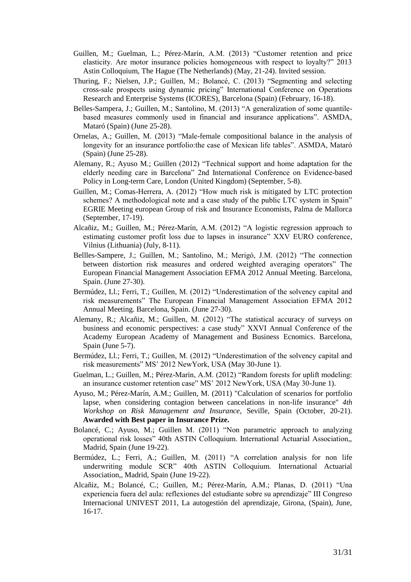- Guillen, M.; Guelman, L.; Pérez-Marín, A.M. (2013) "Customer retention and price elasticity. Are motor insurance policies homogeneous with respect to loyalty?" 2013 Astin Colloquium, The Hague (The Netherlands) (May, 21-24). Invited session.
- Thuring, F.; Nielsen, J.P.; Guillen, M.; Bolancé, C. (2013) "Segmenting and selecting cross-sale prospects using dynamic pricing" International Conference on Operations Research and Enterprise Systems (ICORES), Barcelona (Spain) (February, 16-18).
- Belles-Sampera, J.; Guillen, M.; Santolino, M. (2013) "A generalization of some quantilebased measures commonly used in financial and insurance applications". ASMDA, Mataró (Spain) (June 25-28).
- Ornelas, A.; Guillen, M. (2013) "Male-female compositional balance in the analysis of longevity for an insurance portfolio:the case of Mexican life tables". ASMDA, Mataró (Spain) (June 25-28).
- Alemany, R.; Ayuso M.; Guillen (2012) "Technical support and home adaptation for the elderly needing care in Barcelona" 2nd International Conference on Evidence-based Policy in Long-term Care, London (United Kingdom) (September, 5-8).
- Guillen, M.; Comas-Herrera, A. (2012) "How much risk is mitigated by LTC protection schemes? A methodological note and a case study of the public LTC system in Spain" EGRIE Meeting european Group of risk and Insurance Economists, Palma de Mallorca (September, 17-19).
- Alcañiz, M.; Guillen, M.; Pérez-Marín, A.M. (2012) "A logistic regression approach to estimating customer profit loss due to lapses in insurance" XXV EURO conference, Vilnius (Lithuania) (July, 8-11).
- Bellles-Sampere, J.; Guillen, M.; Santolino, M.; Merigó, J.M. (2012) "The connection between distortion risk measures and ordered weighted averaging operators" The European Financial Management Association EFMA 2012 Annual Meeting. Barcelona, Spain. (June 27-30).
- Bermúdez, Ll.; Ferri, T.; Guillen, M. (2012) "Underestimation of the solvency capital and risk measurements" The European Financial Management Association EFMA 2012 Annual Meeting. Barcelona, Spain. (June 27-30).
- Alemany, R.; Alcañiz, M.; Guillen, M. (2012) "The statistical accuracy of surveys on business and economic perspectives: a case study" XXVI Annual Conference of the Academy European Academy of Management and Business Ecnomics. Barcelona, Spain (June 5-7).
- Bermúdez, Ll.; Ferri, T.; Guillen, M. (2012) "Underestimation of the solvency capital and risk measurements" MS' 2012 NewYork, USA (May 30-June 1).
- Guelman, L.; Guillen, M.; Pérez-Marín, A.M. (2012) "Random forests for uplift modeling: an insurance customer retention case" MS' 2012 NewYork, USA (May 30-June 1).
- Ayuso, M.; Pérez-Marín, A.M.; Guillen, M. (2011) "Calculation of scenarios for portfolio lapse, when considering contagion between cancelations in non-life insurance" *4th Workshop on Risk Management and Insurance*, Seville, Spain (October, 20-21). **Awarded with Best paper in Insurance Prize.**
- Bolancé, C.; Ayuso, M.; Guillen M. (2011) "Non parametric approach to analyzing operational risk losses" 40th ASTIN Colloquium. International Actuarial Association,, Madrid, Spain (June 19-22).
- Bermúdez, L.; Ferri, A.; Guillen, M. (2011) "A correlation analysis for non life underwriting module SCR" 40th ASTIN Colloquium. International Actuarial Association,, Madrid, Spain (June 19-22).
- Alcañiz, M.; Bolancé, C.; Guillen, M.; Pérez-Marín, A.M.; Planas, D. (2011) "Una experiencia fuera del aula: reflexiones del estudiante sobre su aprendizaje" III Congreso Internacional UNIVEST 2011, La autogestión del aprendizaje, Girona, (Spain), June, 16-17.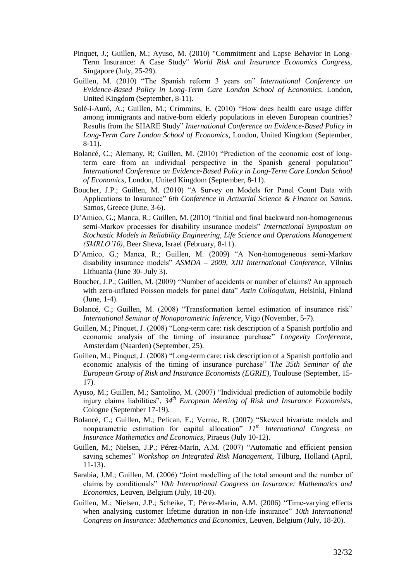- Pinquet, J.; Guillen, M.; Ayuso, M. (2010) "Commitment and Lapse Behavior in Long-Term Insurance: A Case Study" *World Risk and Insurance Economics Congress,*  Singapore (July, 25-29).
- Guillen, M. (2010) "The Spanish reform 3 years on" *International Conference on Evidence-Based Policy in Long-Term Care London School of Economics*, London, United Kingdom (September, 8-11).
- Solé-i-Auró, A.; Guillen, M.; Crimmins, E. (2010) "How does health care usage differ among immigrants and native-born elderly populations in eleven European countries? Results from the SHARE Study" *International Conference on Evidence-Based Policy in Long-Term Care London School of Economics*, London, United Kingdom (September, 8-11).
- Bolancé, C.; Alemany, R; Guillen, M. (2010) "Prediction of the economic cost of longterm care from an individual perspective in the Spanish general population" *International Conference on Evidence-Based Policy in Long-Term Care London School of Economics*, London, United Kingdom (September, 8-11).
- Boucher, J.P.; Guillen, M. (2010) "A Survey on Models for Panel Count Data with Applications to Insurance" *6th Conference in Actuarial Science & Finance on Samos*. Samos, Greece (June, 3-6).
- D'Amico, G.; Manca, R.; Guillen, M. (2010) "Initial and final backward non-homogeneous semi-Markov processes for disability insurance models" *International Symposium on Stochastic Models in Reliability Engineering, Life Science and Operations Management (SMRLO'10)*, Beer Sheva, Israel (February, 8-11).
- D'Amico, G.; Manca, R.; Guillen, M. (2009) "A Non-homogeneous semi-Markov disability insurance models" *ASMDA – 2009, XIII International Conference*, Vilnius Lithuania (June 30- July 3).
- Boucher, J.P.; Guillen, M. (2009) "Number of accidents or number of claims? An approach with zero-inflated Poisson models for panel data" *Astin Colloquium,* Helsinki, Finland (June, 1-4).
- Bolancé, C.; Guillen, M. (2008) "Transformation kernel estimation of insurance risk" *International Seminar of Nonaparametric Inference*, Vigo (November, 5-7).
- Guillen, M.; Pinquet, J. (2008) "Long-term care: risk description of a Spanish portfolio and economic analysis of the timing of insurance purchase" *Longevity Conference*, Amsterdam (Naarden) (September, 25).
- Guillen, M.; Pinquet, J. (2008) "Long-term care: risk description of a Spanish portfolio and economic analysis of the timing of insurance purchase" T*he 35th Seminar of the European Group of Risk and Insurance Economists (EGRIE)*, Toulouse (September, 15- 17).
- Ayuso, M.; Guillen, M.; Santolino, M. (2007) "Individual prediction of automobile bodily injury claims liabilities", *34th European Meeting of Risk and Insurance Economist*s, Cologne (September 17-19).
- Bolancé, C.; Guillen, M.; Pelican, E.; Vernic, R. (2007) "Skewed bivariate models and nonparametric estimation for capital allocation" *11th International Congress on Insurance Mathematics and Economics*, Piraeus (July 10-12).
- Guillen, M.; Nielsen, J.P.; Pérez-Marín, A.M. (2007) "Automatic and efficient pension saving schemes" *Workshop on Integrated Risk Management*, Tilburg, Holland (April, 11-13).
- Sarabia, J.M.; Guillen, M. (2006) "Joint modelling of the total amount and the number of claims by conditionals" *10th International Congress on Insurance: Mathematics and Economics*, Leuven, Belgium (July, 18-20).
- Guillen, M.; Nielsen, J.P.; Scheike, T; Pérez-Marín, A.M. (2006) "Time-varying effects when analysing customer lifetime duration in non-life insurance" *10th International Congress on Insurance: Mathematics and Economics*, Leuven, Belgium (July, 18-20).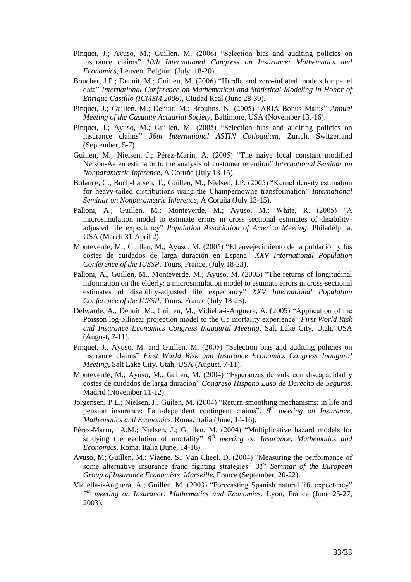- Pinquet, J.; Ayuso, M.; Guillen, M. (2006) "Selection bias and auditing policies on insurance claims" *10th International Congress on Insurance: Mathematics and Economics*, Leuven, Belgium (July, 18-20).
- Boucher, J.P.; Denuit, M.; Guillen, M. (2006) "Hurdle and zero-inflated models for panel data" *International Conference on Mathematical and Statistical Modeling in Honor of Enrique Castillo (ICMSM 2006)*, Ciudad Real (June 28-30).
- Pinquet, J.; Guillen, M.; Denuit, M.; Brouhns, N. (2005) "ARIA Bonus Malus" *Annual Meeting of the Casualty Actuarial Society*, Baltimore, USA (November 13,-16).
- Pinquet, J.; Ayuso, M.; Guillen, M. (2005) "Selection bias and auditing policies on insurance claims" *36th International ASTIN Colloquium*, Zurich, Switzerland (September, 5-7).
- Guillen, M.; Nielsen, J.; Pérez-Marín, A. (2005) "The naive local constant modified Nelson-Aalen estimator to the analysis of customer retention" *International Seminar on Nonparametric Inference*, A Coruña (July 13-15).
- Bolance, C.; Buch-Larsen, T.; Guillen, M.; Nielsen, J.P. (2005) "Kernel density estimation for heavy-tailed distributions using the Champernowne transformation" *International Seminar on Nonparametric Inference*, A Coruña (July 13-15).
- Palloni, A.; Guillen, M.; Monteverde, M.; Ayuso, M.; White, R. (2005) "A microsimulation model to estimate errors in cross sectional estimates of disabilityadjusted life expectancy" *Population Association of America Meeting*, Philadelphia, USA (March 31-April 2).
- Monteverde, M.; Guillen, M.; Ayuso, M. (2005) "El envejecimiento de la población y los costes de cuidados de larga duración en España" *XXV International Population Conference of the IUSSP*, Tours, France, (July 18-23).
- Palloni, A., Guillen, M., Monteverde, M.; Ayuso, M. (2005) "The returns of longitudinal information on the elderly: a microsimulation model to estimate errors in cross-sectional estimates of disability-adjusted life expectancy" *XXV International Population Conference of the IUSSP*, Tours, France (July 18-23).
- Delwarde, A.; Denuit. M.; Guillen, M.; Vidiella-i-Anguera, A. (2005) "Application of the Poisson log-bilinear projection model to the G5 mortality experience" *First World Risk and Insurance Economics Congress Inaugural Meeting*, Salt Lake City, Utah, USA (August, 7-11).
- Pinquet, J., Ayuso, M. and Guillen, M. (2005) "Selection bias and auditing policies on insurance claims" *First World Risk and Insurance Economics Congress Inaugural Meeting*, Salt Lake City, Utah, USA (August, 7-11).
- Monteverde, M.; Ayuso, M.; Guilen, M. (2004) "Esperanzas de vida con discapacidad y costes de cuidados de larga duración" *Congreso Hispano Luso de Derecho de Seguros*. Madrid (November 11-12).
- Jorgensen; P.L.; Nielsen, J.; Guilen, M. (2004) "Return smoothing mechanisms: in life and pension insurance: Path-dependent contingent claims",  $8^{th}$  *meeting on Insurance*, *Mathematics and Economics*, Roma, Italia (June, 14-16).
- Pérez-Marín, A.M.; Nielsen, J.; Guillen, M. (2004) "Multiplicative hazard models for studying the evolution of mortality" *8 th meeting on Insurance, Mathematics and Economics*, Roma, Italia (June, 14-16).
- Ayuso, M; Guillen, M.; Viaene, S.; Van Gheel, D. (2004) "Measuring the performance of some alternative insurance fraud fighting strategies" *31st Seminar of the European Group of Insurance Economists, Marseille*, France (September, 20-22).
- Vidiella-i-Anguera, A.; Guillen, M. (2003) "Forecasting Spanish natural life expectancy" *7 th meeting on Insurance, Mathematics and Economics*, Lyon, France (June 25-27, 2003).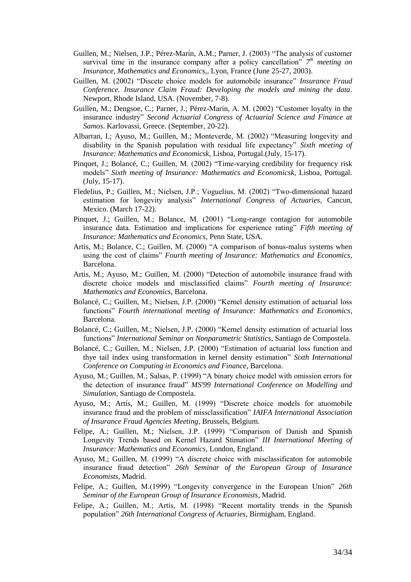- Guillen, M.; Nielsen, J.P.; Pérez-Marín, A.M.; Parner, J. (2003) "The analysis of customer survival time in the insurance company after a policy cancellation"  $7<sup>th</sup>$  *meeting on Insurance, Mathematics and Economics,*, Lyon, France (June 25-27, 2003).
- Guillen, M. (2002) "Discete choice models for automobile insurance" *Insurance Fraud Conference. Insurance Claim Fraud: Developing the models and mining the data*. Newport, Rhode Island, USA. (November, 7-8).
- Guillen, M.; Dengsoe, C.; Parner, J.; Pérez-Marín, A. M. (2002) "Customer loyalty in the insurance industry" *Second Actuarial Congress of Actuarial Science and Finance at Samos*. Karlovassi, Greece. (September, 20-22).
- Albarran, I.; Ayuso, M.; Guillen, M.; Monteverde, M. (2002) "Measuring longevity and disability in the Spanish population with residual life expectancy" *Sixth meeting of Insurance: Mathematics and Economicsk,* Lisboa, Portugal.(July, 15-17).
- Pinquet, J.; Bolancé, C.; Guillen, M. (2002) "Time-varying credibility for frequency risk models" *Sixth meeting of Insurance: Mathematics and Economicsk,* Lisboa, Portugal. (July, 15-17).
- Fledelius, P.; Guillen, M.; Nielsen, J.P.; Voguelius, M. (2002) "Two-dimensional hazard estimation for longevity analysis" *International Congress of Actuaries*, Cancun, Mexico. (March 17-22).
- Pinquet, J.; Guillen, M.; Bolance, M. (2001) "Long-range contagion for automobile insurance data. Estimation and implications for experience rating" *Fifth meeting of Insurance: Mathematics and Economics*, Penn State, USA.
- Artis, M.; Bolance, C.; Guillen, M. (2000) "A comparison of bonus-malus systems when using the cost of claims" *Fourth meeting of Insurance: Mathematics and Economics*, Barcelona.
- Artis, M.; Ayuso, M.; Guillen, M. (2000) "Detection of automobile insurance fraud with discrete choice models and misclassified claims" *Fourth meeting of Insurance: Mathematics and Economics*, Barcelona.
- Bolancé, C.; Guillen, M.; Nielsen, J.P. (2000) "Kernel density estimation of actuarial loss functions" *Fourth international meeting of Insurance: Mathematics and Economics*, Barcelona.
- Bolancé, C.; Guillen, M.; Nielsen, J.P. (2000) "Kernel density estimation of actuarial loss functions" *International Seminar on Nonparametric Statistics*, Santiago de Compostela.
- Bolancé, C.; Guillen, M.; Nielsen, J.P. (2000) "Estimation of actuarial loss function and thye tail index using transformation in kernel density estimation" *Sixth International Conference on Computing in Economics and Finance*, Barcelona.
- Ayuso, M.; Guillen, M.; Salsas, P. (1999) "A binary choice model with omission errors for the detection of insurance fraud" *MS'99 International Conference on Modelling and Simulation*, Santiago de Compostela.
- Ayuso, M.; Artís, M.; Guillen, M. (1999) "Discrete choice models for atuomobile insurance fraud and the problem of missclassification" *IAIFA International Association of Insurance Fraud Agencies Meeting*, Brussels, Belgium.
- Felipe, A.; Guillen, M.; Nielsen, J.P. (1999) "Comparison of Danish and Spanish Longevity Trends based on Kernel Hazard Stimation" *III International Meeting of Insurance: Mathematics and Economics*, London, England.
- Ayuso, M.; Guillen, M. (1999) "A discrete choice with misclassificaton for automobile insurance fraud detection" *26th Seminar of the European Group of Insurance Economists*, Madrid.
- Felipe, A.; Guillen, M.(1999) "Longevity convergence in the European Union" *26th Seminar of the European Group of Insurance Economists*, Madrid.
- Felipe, A.; Guillen, M.; Artís, M. (1998) "Recent mortality trends in the Spanish population" *26th International Congress of Actuaries*, Birmigham, England.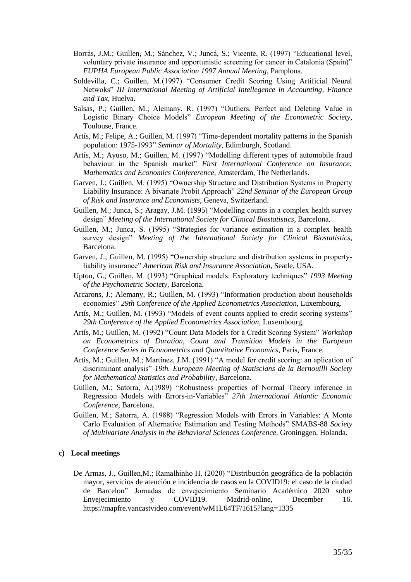- Borrás, J.M.; Guillen, M.; Sánchez, V.; Juncá, S.; Vicente, R. (1997) "Educational level, voluntary private insurance and opportunistic screening for cancer in Catalonia (Spain)" *EUPHA European Public Association 1997 Annual Meeting*, Pamplona.
- Soldevilla, C.; Guillen, M.(1997) "Consumer Credit Scoring Using Artificial Neural Netwoks" *III International Meeting of Artificial Intellegence in Accounting, Finance and Tax*, Huelva.
- Salsas, P.; Guillen, M.; Alemany, R. (1997) "Outliers, Perfect and Deleting Value in Logistic Binary Choice Models" *European Meeting of the Econometric Society*, Toulouse, France.
- Artís, M.; Felipe, A.; Guillen, M. (1997) "Time-dependent mortality patterns in the Spanish population: 1975-1993" *Seminar of Mortality,* Edimburgh, Scotland.
- Artís, M.; Ayuso, M.; Guillen, M. (1997) "Modelling different types of automobile fraud behaviour in the Spanish market" *First International Conference on Insurance: Mathematics and Economics Confererence*, Amsterdam, The Netherlands.
- Garven, J.; Guillen, M. (1995) "Ownership Structure and Distribution Systems in Property Liability Insurance: A bivariate Probit Approach" *22nd Seminar of the European Group of Risk and Insurance and Economists*, Geneva, Switzerland.
- Guillen, M.; Junca, S.; Aragay, J.M. (1995) "Modelling counts in a complex health survey design" *Meeting of the International Society for Clinical Biostatistics*, Barcelona.
- Guillen, M.; Junca, S. (1995) "Strategies for variance estimation in a complex health survey design" *Meeting of the International Society for Clinical Biostatistics*, Barcelona.
- Garven, J.; Guillen, M. (1995) "Ownership structure and distribution systems in propertyliability insurance" *American Risk and Insurance Association*, Seatle, USA.
- Upton, G.; Guillen, M. (1993) "Graphical models: Exploratory techniques" *1993 Meeting of the Psychometric Society*, Barcelona.
- Arcarons, J.; Alemany, R.; Guillen, M. (1993) "Information production about households economies" *29th Conference of the Applied Econometrics Association*, Luxembourg.
- Artís, M.; Guillen, M. (1993) "Models of event counts applied to credit scoring systems" *29th Conference of the Applied Econometrics Association*, Luxembourg.
- Artís, M.; Guillen, M. (1992) "Count Data Models for a Credit Scoring System" *Workshop on Econometrics of Duration, Count and Transition Models in the European Conference Series in Econometrics and Quantitative Economics*, Paris, France.
- Artís, M.; Guillen, M.; Martínez, J.M. (1991) "A model for credit scoring: an aplication of discriminant analysis" *19th. European Meeting of Statiscians de la Bernouilli Society for Mathematical Statistics and Probability*, Barcelona.
- Guillen, M.; Satorra, A.(1989) "Robustness properties of Normal Theory inference in Regression Models with Errors-in-Variables" *27th International Atlantic Economic Conference*, Barcelona.
- Guillen, M.; Satorra, A. (1988) "Regression Models with Errors in Variables: A Monte Carlo Evaluation of Alternative Estimation and Testing Methods" SMABS-88 *Society of Multivariate Analysis in the Behavioral Sciences Conference*, Groninggen, Holanda.

### **c) Local meetings**

De Armas, J., Guillen,M.; Ramalhinho H. (2020) "Distribución geográfica de la población mayor, servicios de atención e incidencia de casos en la COVID19: el caso de la ciudad de Barcelon" Jornadas de envejecimiento Seminario Académico 2020 sobre Envejecimiento y COVID19. Madrid-online, December 16. https://mapfre.vancastvideo.com/event/wM1L64TF/1615?lang=1335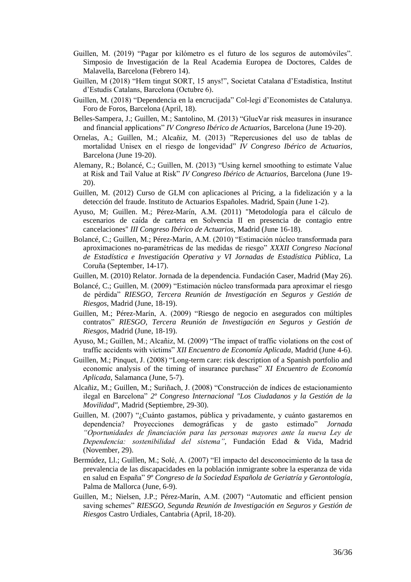- Guillen, M. (2019) "Pagar por kilómetro es el futuro de los seguros de automóviles". Simposio de Investigación de la Real Academia Europea de Doctores, Caldes de Malavella, Barcelona (Febrero 14).
- Guillen, M (2018) "Hem tingut SORT, 15 anys!", Societat Catalana d'Estadística, Institut d'Estudis Catalans, Barcelona (Octubre 6).
- Guillen, M. (2018) "Dependencia en la encrucijada" Col-legi d'Economistes de Catalunya. Foro de Foros, Barcelona (April, 18).
- Belles-Sampera, J.; Guillen, M.; Santolino, M. (2013) "GlueVar risk measures in insurance and financial applications" *IV Congreso Ibérico de Actuarios*, Barcelona (June 19-20).
- Ornelas, A.; Guillen, M.; Alcañiz, M. (2013) "Repercusiones del uso de tablas de mortalidad Unisex en el riesgo de longevidad" *IV Congreso Ibérico de Actuarios*, Barcelona (June 19-20).
- Alemany, R.; Bolancé, C.; Guillen, M. (2013) "Using kernel smoothing to estimate Value at Risk and Tail Value at Risk" *IV Congreso Ibérico de Actuarios*, Barcelona (June 19- 20).
- Guillen, M. (2012) Curso de GLM con aplicaciones al Pricing, a la fidelización y a la detección del fraude. Instituto de Actuarios Españoles. Madrid, Spain (June 1-2).
- Ayuso, M; Guillen. M.; Pérez-Marín, A.M. (2011) "Metodología para el cálculo de escenarios de caída de cartera en Solvencia II en presencia de contagio entre cancelaciones" *III Congreso Ibérico de Actuarios*, Madrid (June 16-18).
- Bolancé, C.; Guillen, M.; Pérez-Marín, A.M. (2010) "Estimación núcleo transformada para aproximaciones no-paramétricas de las medidas de riesgo" *XXXII Congreso Nacional de Estadística e Investigación Operativa y VI Jornadas de Estadística Pública*, La Coruña (September, 14-17).
- Guillen, M. (2010) Relator. Jornada de la dependencia. Fundación Caser, Madrid (May 26).
- Bolancé, C.; Guillen, M. (2009) "Estimación núcleo transformada para aproximar el riesgo de pérdida" *RIESGO, Tercera Reunión de Investigación en Seguros y Gestión de Riesgos*, Madrid (June, 18-19).
- Guillen, M.; Pérez-Marín, A. (2009) "Riesgo de negocio en asegurados con múltiples contratos" *RIESGO, Tercera Reunión de Investigación en Seguros y Gestión de Riesgos*, Madrid (June, 18-19).
- Ayuso, M.; Guillen, M.; Alcañiz, M. (2009) "The impact of traffic violations on the cost of traffic accidents with victims" *XII Encuentro de Economía Aplicada*, Madrid (June 4-6).
- Guillen, M.; Pinquet, J. (2008) "Long-term care: risk description of a Spanish portfolio and economic analysis of the timing of insurance purchase" *XI Encuentro de Economía Aplicada*, Salamanca (June, 5-7).
- Alcañiz, M.; Guillen, M.; Suriñach, J. (2008) "Construcción de índices de estacionamiento ilegal en Barcelona" *2º Congreso Internacional "Los Ciudadanos y la Gestión de la Movilidad"*, Madrid (Septiembre, 29-30).
- Guillen, M. (2007) "¿Cuánto gastamos, pública y privadamente, y cuánto gastaremos en dependencia? Proyecciones demográficas y de gasto estimado" *Jornada "Oportunidades de financiación para las personas mayores ante la nueva Ley de Dependencia: sostenibilidad del sistema"*, Fundación Edad & Vida, Madrid (November, 29).
- Bermúdez, Ll.; Guillen, M.; Solé, A. (2007) "El impacto del desconocimiento de la tasa de prevalencia de las discapacidades en la población inmigrante sobre la esperanza de vida en salud en España" *9º Congreso de la Sociedad Española de Geriatría y Gerontología*, Palma de Mallorca (June, 6-9).
- Guillen, M.; Nielsen, J.P.; Pérez-Marín, A.M. (2007) "Automatic and efficient pension saving schemes" *RIESGO, Segunda Reunión de Investigación en Seguros y Gestión de Riesgos* Castro Urdiales, Cantabria (April, 18-20).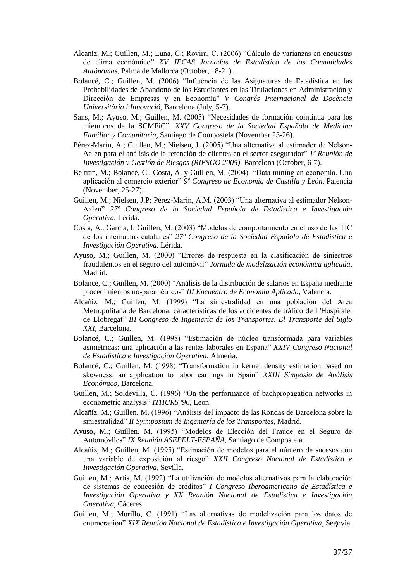- Alcaniz, M.; Guillen, M.; Luna, C.; Rovira, C. (2006) "Cálculo de varianzas en encuestas de clima económico" *XV JECAS Jornadas de Estadística de las Comunidades Autónomas*, Palma de Mallorca (October, 18-21).
- Bolancé, C.; Guillen, M. (2006) "Influencia de las Asignaturas de Estadística en las Probabilidades de Abandono de los Estudiantes en las Titulaciones en Administración y Dirección de Empresas y en Economía" *V Congrés Internacional de Docència Universitària i Innovació*, Barcelona (July, 5-7).
- Sans, M.; Ayuso, M.; Guillen, M. (2005) "Necesidades de formación cointinua para los miembros de la SCMFiC". *XXV Congreso de la Sociedad Española de Medicina Familiar y Comunitaria*, Santiago de Compostela (November 23-26).
- Pérez-Marín, A.; Guillen, M.; Nielsen, J. (2005) "Una alternativa al estimador de Nelson-Aalen para el análisis de la retención de clientes en el sector asegurador" *1ª Reunión de Investigación y Gestión de Riesgos (RIESGO 2005)*, Barcelona (October, 6-7).
- Beltran, M.; Bolancé, C., Costa, A. y Guillen, M. (2004) "Data mining en economía. Una aplicación al comercio exterior" *9º Congreso de Economía de Castilla y León*, Palencia (November, 25-27).
- Guillen, M.; Nielsen, J.P; Pérez-Marin, A.M. (2003) "Una alternativa al estimador Nelson-Aalen" *27º Congreso de la Sociedad Española de Estadística e Investigación Operativa.* Lérida.
- Costa, A., García, I; Guillen, M. (2003) "Modelos de comportamiento en el uso de las TIC de los internautas catalanes" *27º Congreso de la Sociedad Española de Estadística e Investigación Operativa.* Lérida.
- Ayuso, M.; Guillen, M. (2000) "Errores de respuesta en la clasificación de siniestros fraudulentos en el seguro del automóvil" *Jornada de modelización económica aplicada*, Madrid.
- Bolance, C.; Guillen, M. (2000) "Análisis de la distribución de salarios en España mediante procedimientos no-paramétricos" *III Encuentro de Economía Aplicada*, Valencia.
- Alcañiz, M.; Guillen, M. (1999) "La siniestralidad en una población del Área Metropolitana de Barcelona: características de los accidentes de tráfico de L'Hospitalet de Llobregat" *III Congreso de Ingeniería de los Transportes. El Transporte del Siglo XXI*, Barcelona.
- Bolancé, C.; Guillen, M. (1998) "Estimación de núcleo transformada para variables asimétricas: una aplicación a las rentas laborales en España" *XXIV Congreso Nacional de Estadística e Investigación Operativa*, Almería.
- Bolancé, C.; Guillen, M. (1998) "Transformation in kernel density estimation based on skewness: an application to labor earnings in Spain" *XXIII Simposio de Análisis Económico*, Barcelona.
- Guillen, M.; Soldevilla, C. (1996) "On the performance of bachpropagation networks in econometric analysis" *ITHURS '96*, Leon.
- Alcañíz, M.; Guillen, M. (1996) "Análisis del impacto de las Rondas de Barcelona sobre la siniestralidad" *II Syimposium de Ingeniería de los Transportes*, Madrid.
- Ayuso, M.; Guillen, M. (1995) "Modelos de Elección del Fraude en el Seguro de Automóvlles" *IX Reunión ASEPELT-ESPAÑA*, Santiago de Compostela.
- Alcañiz, M.; Guillen, M. (1995) "Estimación de modelos para el número de sucesos con una variable de exposición al riesgo" *XXII Congreso Nacional de Estadística e Investigación Operativa*, Sevilla.
- Guillen, M.; Artís, M. (1992) "La utilización de modelos alternativos para la elaboración de sistemas de concesión de créditos" *I Congreso Iberoamericano de Estadística e Investigación Operativa y XX Reunión Nacional de Estadística e Investigación Operativa*, Cáceres.
- Guillen, M.; Murillo, C. (1991) "Las alternativas de modelización para los datos de enumeración" *XIX Reunión Nacional de Estadística e Investigación Operativa*, Segovia.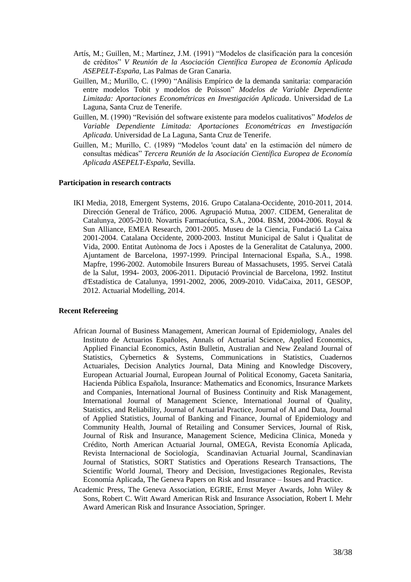- Artís, M.; Guillen, M.; Martínez, J.M. (1991) "Modelos de clasificación para la concesión de créditos" *V Reunión de la Asociación Científica Europea de Economía Aplicada ASEPELT-España*, Las Palmas de Gran Canaria.
- Guillen, M.; Murillo, C. (1990) "Análisis Empírico de la demanda sanitaria: comparación entre modelos Tobit y modelos de Poisson" *Modelos de Variable Dependiente Limitada: Aportaciones Econométricas en Investigación Aplicada*. Universidad de La Laguna, Santa Cruz de Tenerife.
- Guillen, M. (1990) "Revisión del software existente para modelos cualitativos" *Modelos de Variable Dependiente Limitada: Aportaciones Econométricas en Investigación Aplicada*. Universidad de La Laguna, Santa Cruz de Tenerife.
- Guillen, M.; Murillo, C. (1989) "Modelos 'count data' en la estimación del número de consultas médicas" *Tercera Reunión de la Asociación Científica Europea de Economía Aplicada ASEPELT-España*, Sevilla.

# **Participation in research contracts**

IKI Media, 2018, Emergent Systems, 2016. Grupo Catalana-Occidente, 2010-2011, 2014. Dirección General de Tráfico, 2006. Agrupació Mutua, 2007. CIDEM, Generalitat de Catalunya, 2005-2010. Novartis Farmacéutica, S.A., 2004. BSM, 2004-2006. Royal & Sun Alliance, EMEA Research, 2001-2005. Museu de la Ciencia, Fundació La Caixa 2001-2004. Catalana Occidente, 2000-2003. Institut Municipal de Salut i Qualitat de Vida, 2000. Entitat Autònoma de Jocs i Apostes de la Generalitat de Catalunya, 2000. Ajuntament de Barcelona, 1997-1999. Principal Internacional España, S.A., 1998. Mapfre, 1996-2002. Automobile Insurers Bureau of Massachusets, 1995. Servei Català de la Salut, 1994- 2003, 2006-2011. Diputació Provincial de Barcelona, 1992. Institut d'Estadística de Catalunya, 1991-2002, 2006, 2009-2010. VidaCaixa, 2011, GESOP, 2012. Actuarial Modelling, 2014.

#### **Recent Refereeing**

- African Journal of Business Management, American Journal of Epidemiology, Anales del Instituto de Actuarios Españoles, Annals of Actuarial Science, Applied Economics, Applied Financial Economics, Astin Bulletin, Australian and New Zealand Journal of Statistics, Cybernetics & Systems, Communications in Statistics, Cuadernos Actuariales, Decision Analytics Journal, Data Mining and Knowledge Discovery, European Actuarial Journal, European Journal of Political Economy, Gaceta Sanitaria, Hacienda Pública Española, Insurance: Mathematics and Economics, Insurance Markets and Companies, International Journal of Business Continuity and Risk Management, International Journal of Management Science, International Journal of Quality, Statistics, and Reliability, Journal of Actuarial Practice, Journal of AI and Data, Journal of Applied Statistics, Journal of Banking and Finance, Journal of Epidemiology and Community Health, Journal of Retailing and Consumer Services, Journal of Risk, Journal of Risk and Insurance, Management Science, Medicina Clinica, Moneda y Crédito, North American Actuarial Journal, OMEGA, Revista Economía Aplicada, Revista Internacional de Sociología, Scandinavian Actuarial Journal, Scandinavian Journal of Statistics, SORT Statistics and Operations Research Transactions, The Scientific World Journal, Theory and Decision, Investigaciones Regionales, Revista Economía Aplicada, The Geneva Papers on Risk and Insurance – Issues and Practice.
- Academic Press, The Geneva Association, EGRIE, Ernst Meyer Awards, John Wiley & Sons, Robert C. Witt Award American Risk and Insurance Association, Robert I. Mehr Award American Risk and Insurance Association, Springer.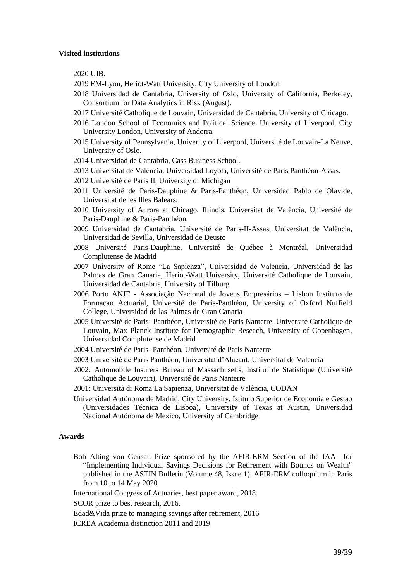#### **Visited institutions**

2020 UIB.

- 2019 EM-Lyon, Heriot-Watt University, City University of London
- 2018 Universidad de Cantabria, University of Oslo, University of California, Berkeley, Consortium for Data Analytics in Risk (August).
- 2017 Université Catholique de Louvain, Universidad de Cantabria, University of Chicago.
- 2016 London School of Economics and Political Science, University of Liverpool, City University London, University of Andorra.
- 2015 University of Pennsylvania, Univerity of Liverpool, Université de Louvain-La Neuve, University of Oslo.
- 2014 Universidad de Cantabria, Cass Business School.
- 2013 Universitat de València, Universidad Loyola, Université de Paris Panthéon-Assas.
- 2012 Université de Paris II, University of Michigan
- 2011 Université de Paris-Dauphine & Paris-Panthéon, Universidad Pablo de Olavide, Universitat de les Illes Balears.
- 2010 University of Aurora at Chicago, Illinois, Universitat de València, Université de Paris-Dauphine & Paris-Panthéon.
- 2009 Universidad de Cantabria, Université de Paris-II-Assas, Universitat de València, Universidad de Sevilla, Universidad de Deusto
- 2008 Université Paris-Dauphine, Université de Québec à Montréal, Universidad Complutense de Madrid
- 2007 University of Rome "La Sapienza", Universidad de Valencia, Universidad de las Palmas de Gran Canaria, Heriot-Watt University, Université Catholique de Louvain, Universidad de Cantabria, University of Tilburg
- 2006 Porto ANJE Associação Nacional de Jovens Empresários Lisbon Instituto de Formaçao Actuarial, Université de Paris-Panthéon, University of Oxford Nuffield College, Universidad de las Palmas de Gran Canaria
- 2005 Université de Paris- Panthéon, Université de Paris Nanterre, Université Catholique de Louvain, Max Planck Institute for Demographic Reseach, University of Copenhagen, Universidad Complutense de Madrid
- 2004 Université de Paris- Panthéon, Université de Paris Nanterre
- 2003 Université de Paris Panthéon, Universitat d'Alacant, Universitat de Valencia
- 2002: Automobile Insurers Bureau of Massachusetts, Institut de Statistique (Université Cathólique de Louvain), Université de Paris Nanterre
- 2001: Università di Roma La Sapienza, Universitat de València, CODAN
- Universidad Autónoma de Madrid, City University, Istituto Superior de Economia e Gestao (Universidades Técnica de Lisboa), University of Texas at Austin, Universidad Nacional Autónoma de Mexico, University of Cambridge

#### **Awards**

- Bob Alting von Geusau Prize sponsored by the AFIR-ERM Section of the IAA for "Implementing Individual Savings Decisions for Retirement with Bounds on Wealth" published in the ASTIN Bulletin (Volume 48, Issue 1). AFIR-ERM colloquium in Paris from 10 to 14 May 2020
- International Congress of Actuaries, best paper award, 2018.

SCOR prize to best research, 2016.

Edad&Vida prize to managing savings after retirement, 2016

ICREA Academia distinction 2011 and 2019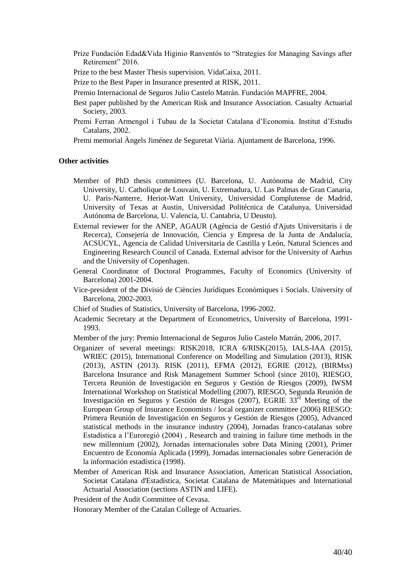Prize Fundación Edad&Vida Higinio Ranventós to "Strategies for Managing Savings after Retirement" 2016.

Prize to the best Master Thesis supervision. VidaCaixa, 2011.

- Prize to the Best Paper in Insurance presented at RISK, 2011.
- Premio Internacional de Seguros Julio Castelo Matrán. Fundación MAPFRE, 2004.
- Best paper published by the American Risk and Insurance Association. Casualty Actuarial Society, 2003.
- Premi Ferran Armengol i Tubau de la Societat Catalana d'Economia. Institut d'Estudis Catalans, 2002.

Premi memorial Àngels Jiménez de Seguretat Viària. Ajuntament de Barcelona, 1996.

#### **Other activities**

- Member of PhD thesis committees (U. Barcelona, U. Autónoma de Madrid, City University, U. Catholique de Louvain, U. Extremadura, U. Las Palmas de Gran Canaria, U. Paris-Nanterre, Heriot-Watt University, Universidad Complutense de Madrid, University of Texas at Austin, Universidad Politécnica de Catalunya, Universidad Autónoma de Barcelona, U. Valencia, U. Cantabria, U Deusto).
- External reviewer for the ANEP, AGAUR (Agència de Gestió d'Ajuts Universitaris i de Recerca), Consejería de Innovación, Ciencia y Empresa de la Junta de Andalucía, ACSUCYL, Agencia de Calidad Universitaria de Castilla y León, Natural Sciences and Engineering Research Council of Canada. External advisor for the University of Aarhus and the University of Copenhagen.
- General Coordinator of Doctoral Programmes, Faculty of Economics (University of Barcelona) 2001-2004.
- Vice-president of the Divisió de Ciències Jurídiques Econòmiques i Socials. University of Barcelona, 2002-2003.
- Chief of Studies of Statistics, University of Barcelona, 1996-2002.
- Academic Secretary at the Department of Econometrics, University of Barcelona, 1991- 1993.

Member of the jury: Premio Internacional de Seguros Julio Castelo Matrán, 2006, 2017.

- Organizer of several meetings: RISK2018, ICRA 6/RISK(2015), IALS-IAA (2015), WRIEC (2015), International Conference on Modelling and Simulation (2013), RISK (2013), ASTIN (2013). RISK (2011), EFMA (2012), EGRIE (2012), (BIRMss) Barcelona Insurance and Risk Management Summer School (since 2010), RIESGO, Tercera Reunión de Investigación en Seguros y Gestión de Riesgos (2009), IWSM International Workshop on Statistical Modelling (2007), RIESGO, Segunda Reunión de Investigación en Seguros y Gestión de Riesgos (2007), EGRIE 33rd Meeting of the European Group of Insurance Economists / local organizer committee (2006) RIESGO: Primera Reunión de Investigación en Seguros y Gestión de Riesgos (2005), Advanced statistical methods in the insurance industry (2004), Jornadas franco-catalanas sobre Estadística a l'Euroregió (2004) , Research and training in failure time methods in the new millennium (2002), Jornadas internacionales sobre Data Mining (2001), Primer Encuentro de Economía Aplicada (1999), Jornadas internacionales sobre Generación de la información estadística (1998).
- Member of American Risk and Insurance Association, American Statistical Association, Societat Catalana d'Estadística, Societat Catalana de Matemàtiques and International Actuarial Association (sections ASTIN and LIFE).
- President of the Audit Committee of Cevasa.

Honorary Member of the Catalan College of Actuaries.